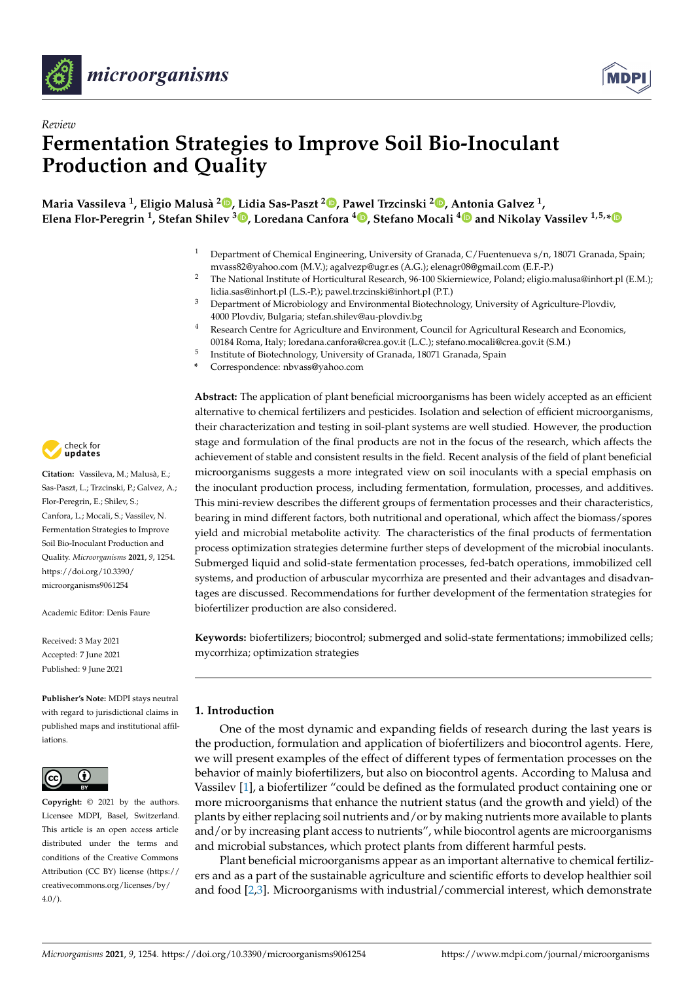



# *Review* **Fermentation Strategies to Improve Soil Bio-Inoculant Production and Quality**

**Maria Vassileva <sup>1</sup> , Eligio Malusà 2 [,](https://orcid.org/0000-0002-9802-3379) Lidia Sas-Paszt <sup>2</sup> [,](https://orcid.org/0000-0003-4076-4032) Pawel Trzcinski <sup>2</sup> [,](https://orcid.org/0000-0003-4568-6504) Antonia Galvez <sup>1</sup> , Elena Flor-Peregrin <sup>1</sup> , Stefan Shilev <sup>3</sup> [,](https://orcid.org/0000-0002-1172-881X) Loredana Canfora <sup>4</sup> [,](https://orcid.org/0000-0002-8442-5094) Stefano Mocali [4](https://orcid.org/0000-0002-1173-7206) and Nikolay Vassilev 1,5,[\\*](https://orcid.org/0000-0002-6144-2940)**

- <sup>1</sup> Department of Chemical Engineering, University of Granada, C/Fuentenueva s/n, 18071 Granada, Spain; mvass82@yahoo.com (M.V.); agalvezp@ugr.es (A.G.); elenagr08@gmail.com (E.F.-P.)
- <sup>2</sup> The National Institute of Horticultural Research, 96-100 Skierniewice, Poland; eligio.malusa@inhort.pl (E.M.); lidia.sas@inhort.pl (L.S.-P.); pawel.trzcinski@inhort.pl (P.T.)
- <sup>3</sup> Department of Microbiology and Environmental Biotechnology, University of Agriculture-Plovdiv, 4000 Plovdiv, Bulgaria; stefan.shilev@au-plovdiv.bg
- <sup>4</sup> Research Centre for Agriculture and Environment, Council for Agricultural Research and Economics, 00184 Roma, Italy; loredana.canfora@crea.gov.it (L.C.); stefano.mocali@crea.gov.it (S.M.)
- 5 Institute of Biotechnology, University of Granada, 18071 Granada, Spain
- **\*** Correspondence: nbvass@yahoo.com

**Abstract:** The application of plant beneficial microorganisms has been widely accepted as an efficient alternative to chemical fertilizers and pesticides. Isolation and selection of efficient microorganisms, their characterization and testing in soil-plant systems are well studied. However, the production stage and formulation of the final products are not in the focus of the research, which affects the achievement of stable and consistent results in the field. Recent analysis of the field of plant beneficial microorganisms suggests a more integrated view on soil inoculants with a special emphasis on the inoculant production process, including fermentation, formulation, processes, and additives. This mini-review describes the different groups of fermentation processes and their characteristics, bearing in mind different factors, both nutritional and operational, which affect the biomass/spores yield and microbial metabolite activity. The characteristics of the final products of fermentation process optimization strategies determine further steps of development of the microbial inoculants. Submerged liquid and solid-state fermentation processes, fed-batch operations, immobilized cell systems, and production of arbuscular mycorrhiza are presented and their advantages and disadvantages are discussed. Recommendations for further development of the fermentation strategies for biofertilizer production are also considered.

**Keywords:** biofertilizers; biocontrol; submerged and solid-state fermentations; immobilized cells; mycorrhiza; optimization strategies

# **1. Introduction**

One of the most dynamic and expanding fields of research during the last years is the production, formulation and application of biofertilizers and biocontrol agents. Here, we will present examples of the effect of different types of fermentation processes on the behavior of mainly biofertilizers, but also on biocontrol agents. According to Malusa and Vassilev [\[1\]](#page-11-0), a biofertilizer "could be defined as the formulated product containing one or more microorganisms that enhance the nutrient status (and the growth and yield) of the plants by either replacing soil nutrients and/or by making nutrients more available to plants and/or by increasing plant access to nutrients", while biocontrol agents are microorganisms and microbial substances, which protect plants from different harmful pests.

Plant beneficial microorganisms appear as an important alternative to chemical fertilizers and as a part of the sustainable agriculture and scientific efforts to develop healthier soil and food [\[2,](#page-11-1)[3\]](#page-12-0). Microorganisms with industrial/commercial interest, which demonstrate



**Citation:** Vassileva, M.; Malusà, E.; Sas-Paszt, L.; Trzcinski, P.; Galvez, A.; Flor-Peregrin, E.; Shilev, S.; Canfora, L.; Mocali, S.; Vassilev, N. Fermentation Strategies to Improve Soil Bio-Inoculant Production and Quality. *Microorganisms* **2021**, *9*, 1254. [https://doi.org/10.3390/](https://doi.org/10.3390/microorganisms9061254) [microorganisms9061254](https://doi.org/10.3390/microorganisms9061254)

Academic Editor: Denis Faure

Received: 3 May 2021 Accepted: 7 June 2021 Published: 9 June 2021

**Publisher's Note:** MDPI stays neutral with regard to jurisdictional claims in published maps and institutional affiliations.



**Copyright:** © 2021 by the authors. Licensee MDPI, Basel, Switzerland. This article is an open access article distributed under the terms and conditions of the Creative Commons Attribution (CC BY) license (https:/[/](https://creativecommons.org/licenses/by/4.0/) [creativecommons.org/licenses/by/](https://creativecommons.org/licenses/by/4.0/)  $4.0/$ ).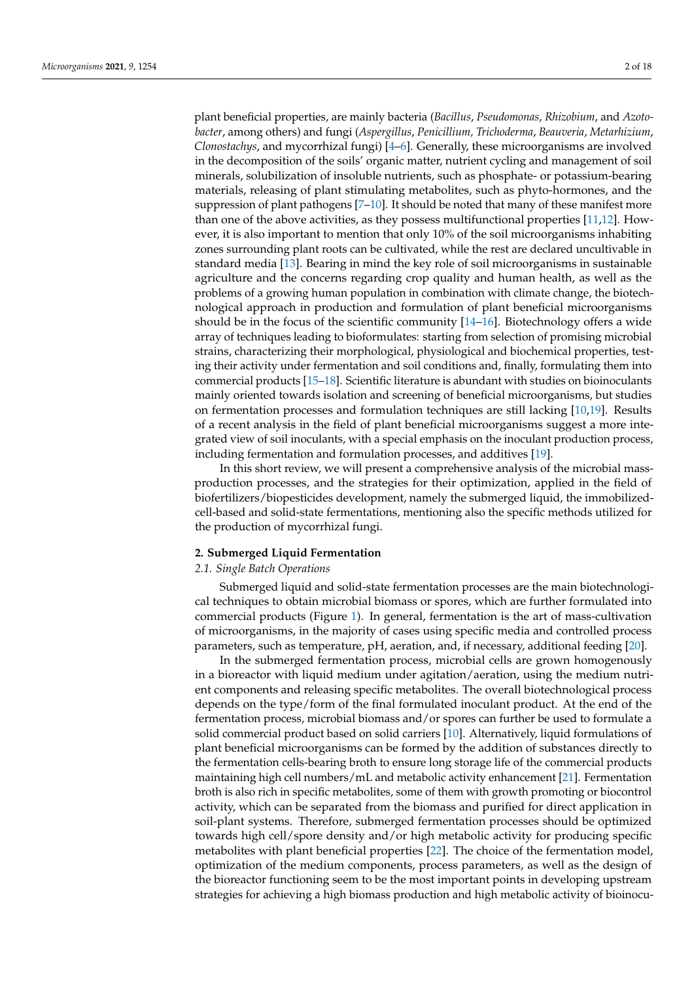plant beneficial properties, are mainly bacteria (*Bacillus*, *Pseudomonas*, *Rhizobium*, and *Azotobacter*, among others) and fungi (*Aspergillus*, *Penicillium, Trichoderma*, *Beauveria*, *Metarhizium*, *Clonostachys*, and mycorrhizal fungi) [\[4–](#page-12-1)[6\]](#page-12-2). Generally, these microorganisms are involved in the decomposition of the soils' organic matter, nutrient cycling and management of soil minerals, solubilization of insoluble nutrients, such as phosphate- or potassium-bearing materials, releasing of plant stimulating metabolites, such as phyto-hormones, and the suppression of plant pathogens [\[7–](#page-12-3)[10\]](#page-12-4). It should be noted that many of these manifest more than one of the above activities, as they possess multifunctional properties [\[11](#page-12-5)[,12\]](#page-12-6). However, it is also important to mention that only 10% of the soil microorganisms inhabiting zones surrounding plant roots can be cultivated, while the rest are declared uncultivable in standard media [\[13\]](#page-12-7). Bearing in mind the key role of soil microorganisms in sustainable agriculture and the concerns regarding crop quality and human health, as well as the problems of a growing human population in combination with climate change, the biotechnological approach in production and formulation of plant beneficial microorganisms should be in the focus of the scientific community [\[14–](#page-12-8)[16\]](#page-12-9). Biotechnology offers a wide array of techniques leading to bioformulates: starting from selection of promising microbial strains, characterizing their morphological, physiological and biochemical properties, testing their activity under fermentation and soil conditions and, finally, formulating them into commercial products [\[15](#page-12-10)[–18\]](#page-12-11). Scientific literature is abundant with studies on bioinoculants mainly oriented towards isolation and screening of beneficial microorganisms, but studies on fermentation processes and formulation techniques are still lacking [\[10](#page-12-4)[,19\]](#page-12-12). Results of a recent analysis in the field of plant beneficial microorganisms suggest a more integrated view of soil inoculants, with a special emphasis on the inoculant production process, including fermentation and formulation processes, and additives [\[19\]](#page-12-12).

In this short review, we will present a comprehensive analysis of the microbial massproduction processes, and the strategies for their optimization, applied in the field of biofertilizers/biopesticides development, namely the submerged liquid, the immobilizedcell-based and solid-state fermentations, mentioning also the specific methods utilized for the production of mycorrhizal fungi.

## **2. Submerged Liquid Fermentation**

## *2.1. Single Batch Operations*

Submerged liquid and solid-state fermentation processes are the main biotechnological techniques to obtain microbial biomass or spores, which are further formulated into commercial products (Figure [1\)](#page-2-0). In general, fermentation is the art of mass-cultivation of microorganisms, in the majority of cases using specific media and controlled process parameters, such as temperature, pH, aeration, and, if necessary, additional feeding [\[20\]](#page-12-13).

In the submerged fermentation process, microbial cells are grown homogenously in a bioreactor with liquid medium under agitation/aeration, using the medium nutrient components and releasing specific metabolites. The overall biotechnological process depends on the type/form of the final formulated inoculant product. At the end of the fermentation process, microbial biomass and/or spores can further be used to formulate a solid commercial product based on solid carriers [\[10\]](#page-12-4). Alternatively, liquid formulations of plant beneficial microorganisms can be formed by the addition of substances directly to the fermentation cells-bearing broth to ensure long storage life of the commercial products maintaining high cell numbers/mL and metabolic activity enhancement [\[21\]](#page-12-14). Fermentation broth is also rich in specific metabolites, some of them with growth promoting or biocontrol activity, which can be separated from the biomass and purified for direct application in soil-plant systems. Therefore, submerged fermentation processes should be optimized towards high cell/spore density and/or high metabolic activity for producing specific metabolites with plant beneficial properties [\[22\]](#page-12-15). The choice of the fermentation model, optimization of the medium components, process parameters, as well as the design of the bioreactor functioning seem to be the most important points in developing upstream strategies for achieving a high biomass production and high metabolic activity of bioinocu-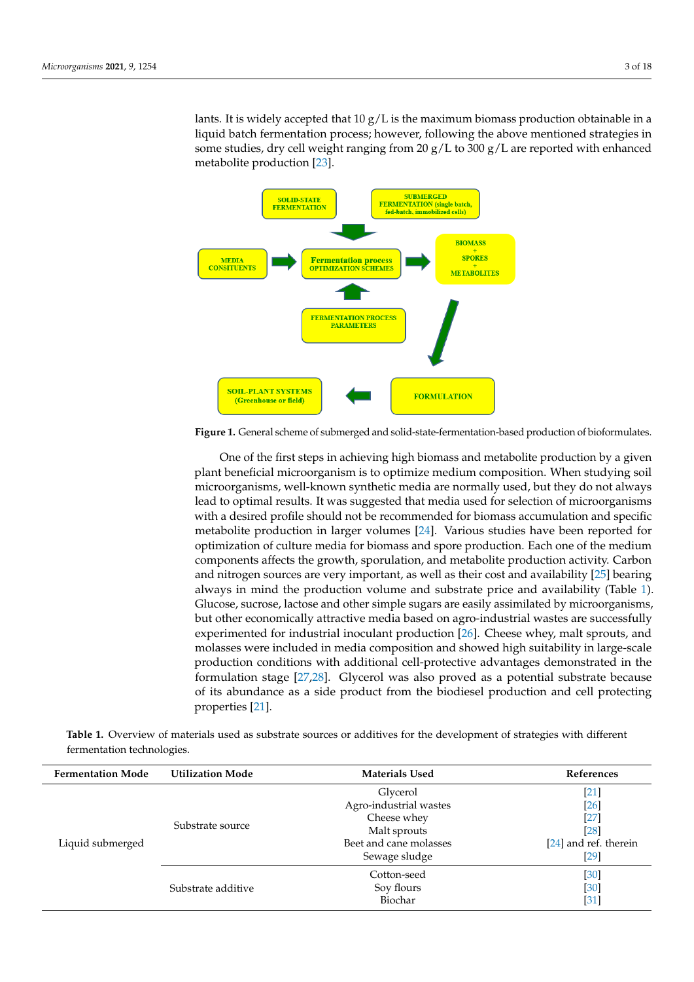lants. It is widely accepted that  $10 g/L$  is the maximum biomass production obtainable in a liquid batch fermentation process; however, following the above mentioned strategies in some studies, dry cell weight ranging from 20 g/L to 300 g/L are reported with enhanced metabolite production [\[23\]](#page-12-16).

<span id="page-2-0"></span>

Figure 1. General scheme of submerged and solid-state-fermentation-based production of bioformulates. mulates.

 $I_{\text{free}}$  in the submerged fermentation process, microbial cells are grown homogenous ly in  $M_{\text{free}}$ plant beneficial microorganism is to optimize medium composition. When studying soil microorganisms, well-known synthetic media are normally used, but they do not always lead to optimal results. It was suggested that media used for selection of microorganisms with a desired profile should not be recommended for biomass accumulation and specific metabolite production in larger volumes [\[24\]](#page-12-17). Various studies have been reported for optimization of culture media for biomass and spore production. Each one of the medium  $\frac{1}{2}$ components affects the growth, sporulation, and metabolite production activity. Carbon and nitrogen sources are very important, as well as their cost and availability [\[25\]](#page-12-18) bearing always in mind the production volume and substrate price and availability (Table [1\)](#page-3-0). Glucose, sucrose, lactose and other simple sugars are easily assimilated by microorganisms, but other economically attractive media based on agro-industrial wastes are successfully experimented for industrial inoculant production [\[26\]](#page-12-19). Cheese whey, malt sprouts, and nolasses were included in media composition and showed high suitability in large-scale we desting of the design of the biores of the biores function  $\epsilon$  and  $\epsilon$  is the most important points in  $\epsilon$ production conditions with additional cell-protective advantages demonstrated in the formulation stage [\[27](#page-12-20)[,28\]](#page-13-0). Glycerol was also proved as a potential substrate because of its abundance as a side product from the biodiesel production and cell protecting  $proporties [21].$  $proporties [21].$  $proporties [21].$ One of the first steps in achieving high biomass and metabolite production by a given

Table 1. Overview of materials used as substrate sources or additives for the development of strategies with different given plant beneficial microorganism is to optimize medium composition. When studyfermentation technologies.

| <b>Fermentation Mode</b> | <b>Utilization Mode</b> | <b>Materials Used</b>                                                                                        | References                                                                         |
|--------------------------|-------------------------|--------------------------------------------------------------------------------------------------------------|------------------------------------------------------------------------------------|
| Liquid submerged         | Substrate source        | Glycerol<br>Agro-industrial wastes<br>Cheese whey<br>Malt sprouts<br>Beet and cane molasses<br>Sewage sludge | $[21]$<br>$\left[26\right]$<br>$[27]$<br>[28]<br>$[24]$ and ref. therein<br>$[29]$ |
|                          | Substrate additive      | Cotton-seed<br>Soy flours<br>Biochar                                                                         | [30]<br>$[30]$<br>[31]                                                             |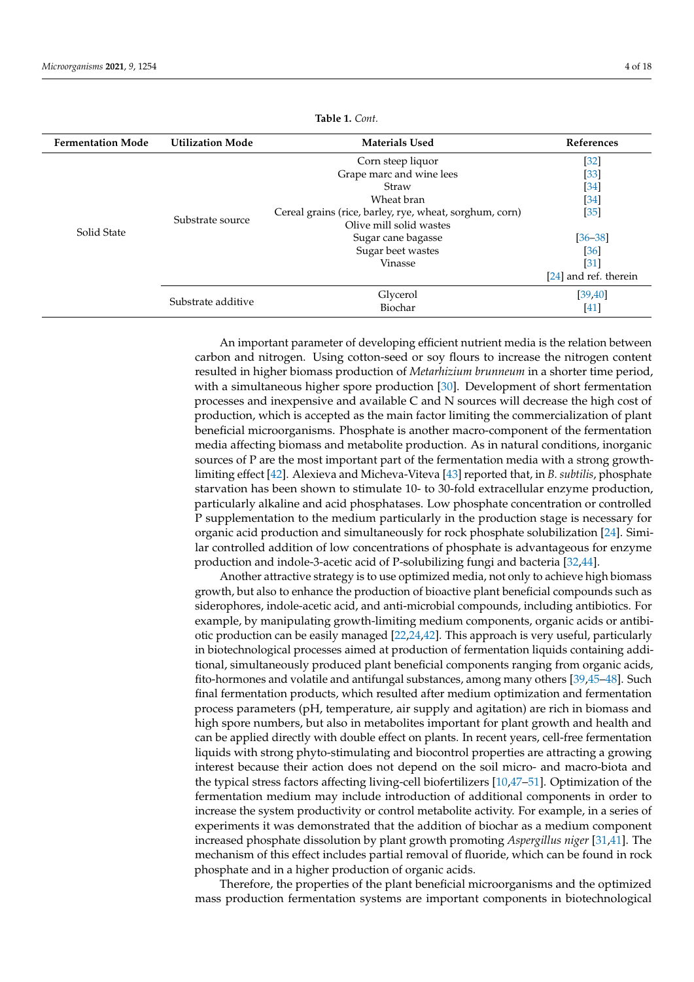<span id="page-3-0"></span>

| <b>Fermentation Mode</b> | <b>Utilization Mode</b> | <b>Materials Used</b>                                   | References              |
|--------------------------|-------------------------|---------------------------------------------------------|-------------------------|
| Solid State              | Substrate source        | Corn steep liquor                                       | $[32]$                  |
|                          |                         | Grape marc and wine lees                                | $[33]$                  |
|                          |                         | Straw                                                   | $[34]$                  |
|                          |                         | Wheat bran                                              | [34]                    |
|                          |                         | Cereal grains (rice, barley, rye, wheat, sorghum, corn) | $[35]$                  |
|                          |                         | Olive mill solid wastes                                 |                         |
|                          |                         | Sugar cane bagasse                                      | $[36 - 38]$             |
|                          |                         | Sugar beet wastes                                       | [36]                    |
|                          |                         | Vinasse                                                 | [31]                    |
|                          |                         |                                                         | $[24]$ and ref. therein |
|                          | Substrate additive      | Glycerol                                                | [39, 40]                |
|                          |                         | Biochar                                                 | [41]                    |

**Table 1.** *Cont.*

An important parameter of developing efficient nutrient media is the relation between carbon and nitrogen. Using cotton-seed or soy flours to increase the nitrogen content resulted in higher biomass production of *Metarhizium brunneum* in a shorter time period, with a simultaneous higher spore production [\[30\]](#page-13-2). Development of short fermentation processes and inexpensive and available C and N sources will decrease the high cost of production, which is accepted as the main factor limiting the commercialization of plant beneficial microorganisms. Phosphate is another macro-component of the fermentation media affecting biomass and metabolite production. As in natural conditions, inorganic sources of P are the most important part of the fermentation media with a strong growthlimiting effect [\[42\]](#page-13-13). Alexieva and Micheva-Viteva [\[43\]](#page-13-14) reported that, in *B. subtilis*, phosphate starvation has been shown to stimulate 10- to 30-fold extracellular enzyme production, particularly alkaline and acid phosphatases. Low phosphate concentration or controlled P supplementation to the medium particularly in the production stage is necessary for organic acid production and simultaneously for rock phosphate solubilization [\[24\]](#page-12-17). Similar controlled addition of low concentrations of phosphate is advantageous for enzyme production and indole-3-acetic acid of P-solubilizing fungi and bacteria [\[32,](#page-13-4)[44\]](#page-13-15).

Another attractive strategy is to use optimized media, not only to achieve high biomass growth, but also to enhance the production of bioactive plant beneficial compounds such as siderophores, indole-acetic acid, and anti-microbial compounds, including antibiotics. For example, by manipulating growth-limiting medium components, organic acids or antibiotic production can be easily managed [\[22,](#page-12-15)[24](#page-12-17)[,42\]](#page-13-13). This approach is very useful, particularly in biotechnological processes aimed at production of fermentation liquids containing additional, simultaneously produced plant beneficial components ranging from organic acids, fito-hormones and volatile and antifungal substances, among many others [\[39,](#page-13-10)[45–](#page-13-16)[48\]](#page-13-17). Such final fermentation products, which resulted after medium optimization and fermentation process parameters (pH, temperature, air supply and agitation) are rich in biomass and high spore numbers, but also in metabolites important for plant growth and health and can be applied directly with double effect on plants. In recent years, cell-free fermentation liquids with strong phyto-stimulating and biocontrol properties are attracting a growing interest because their action does not depend on the soil micro- and macro-biota and the typical stress factors affecting living-cell biofertilizers [\[10,](#page-12-4)[47](#page-13-18)[–51\]](#page-13-19). Optimization of the fermentation medium may include introduction of additional components in order to increase the system productivity or control metabolite activity. For example, in a series of experiments it was demonstrated that the addition of biochar as a medium component increased phosphate dissolution by plant growth promoting *Aspergillus niger* [\[31,](#page-13-3)[41\]](#page-13-12). The mechanism of this effect includes partial removal of fluoride, which can be found in rock phosphate and in a higher production of organic acids.

Therefore, the properties of the plant beneficial microorganisms and the optimized mass production fermentation systems are important components in biotechnological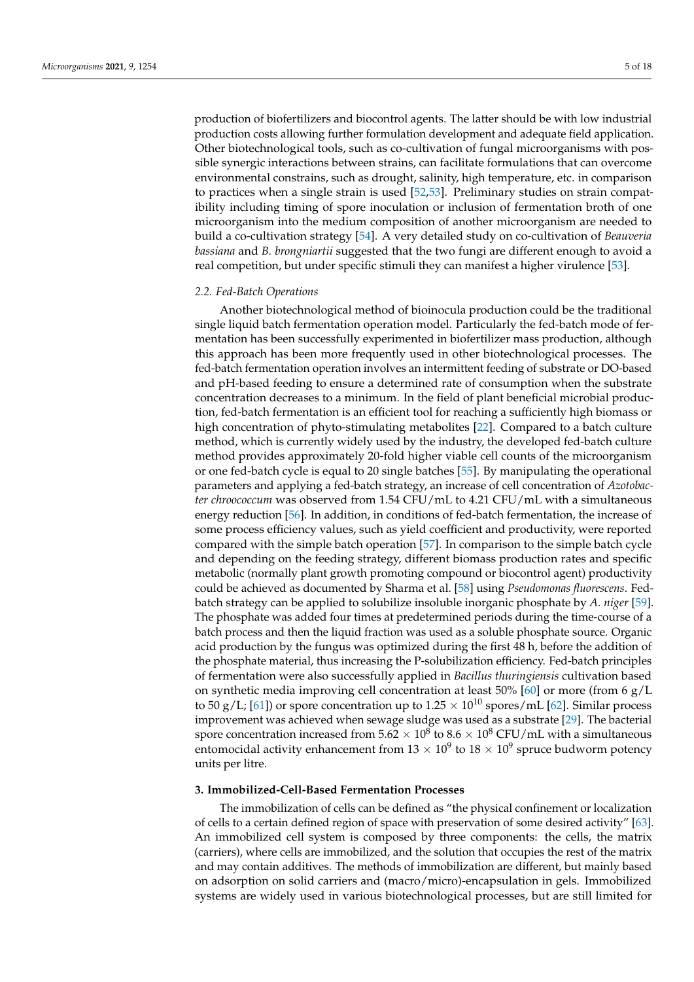production of biofertilizers and biocontrol agents. The latter should be with low industrial production costs allowing further formulation development and adequate field application. Other biotechnological tools, such as co-cultivation of fungal microorganisms with possible synergic interactions between strains, can facilitate formulations that can overcome environmental constrains, such as drought, salinity, high temperature, etc. in comparison to practices when a single strain is used [\[52,](#page-13-20)[53\]](#page-13-21). Preliminary studies on strain compatibility including timing of spore inoculation or inclusion of fermentation broth of one microorganism into the medium composition of another microorganism are needed to build a co-cultivation strategy [\[54\]](#page-13-22). A very detailed study on co-cultivation of *Beauveria bassiana* and *B. brongniartii* suggested that the two fungi are different enough to avoid a real competition, but under specific stimuli they can manifest a higher virulence [\[53\]](#page-13-21).

## *2.2. Fed-Batch Operations*

Another biotechnological method of bioinocula production could be the traditional single liquid batch fermentation operation model. Particularly the fed-batch mode of fermentation has been successfully experimented in biofertilizer mass production, although this approach has been more frequently used in other biotechnological processes. The fed-batch fermentation operation involves an intermittent feeding of substrate or DO-based and pH-based feeding to ensure a determined rate of consumption when the substrate concentration decreases to a minimum. In the field of plant beneficial microbial production, fed-batch fermentation is an efficient tool for reaching a sufficiently high biomass or high concentration of phyto-stimulating metabolites [\[22\]](#page-12-15). Compared to a batch culture method, which is currently widely used by the industry, the developed fed-batch culture method provides approximately 20-fold higher viable cell counts of the microorganism or one fed-batch cycle is equal to 20 single batches [\[55\]](#page-14-0). By manipulating the operational parameters and applying a fed-batch strategy, an increase of cell concentration of *Azotobacter chroococcum* was observed from 1.54 CFU/mL to 4.21 CFU/mL with a simultaneous energy reduction [\[56\]](#page-14-1). In addition, in conditions of fed-batch fermentation, the increase of some process efficiency values, such as yield coefficient and productivity, were reported compared with the simple batch operation [\[57\]](#page-14-2). In comparison to the simple batch cycle and depending on the feeding strategy, different biomass production rates and specific metabolic (normally plant growth promoting compound or biocontrol agent) productivity could be achieved as documented by Sharma et al. [\[58\]](#page-14-3) using *Pseudomonas fluorescens*. Fedbatch strategy can be applied to solubilize insoluble inorganic phosphate by *A. niger* [\[59\]](#page-14-4). The phosphate was added four times at predetermined periods during the time-course of a batch process and then the liquid fraction was used as a soluble phosphate source. Organic acid production by the fungus was optimized during the first 48 h, before the addition of the phosphate material, thus increasing the P-solubilization efficiency. Fed-batch principles of fermentation were also successfully applied in *Bacillus thuringiensis* cultivation based on synthetic media improving cell concentration at least 50% [\[60\]](#page-14-5) or more (from 6 g/L to 50 g/L; [\[61\]](#page-14-6)) or spore concentration up to  $1.25 \times 10^{10}$  spores/mL [\[62\]](#page-14-7). Similar process improvement was achieved when sewage sludge was used as a substrate [\[29\]](#page-13-1). The bacterial spore concentration increased from 5.62  $\times$   $10^8$  to 8.6  $\times$   $10^8$  CFU/mL with a simultaneous entomocidal activity enhancement from 13  $\times$  10 $^9$  to 18  $\times$  10 $^9$  spruce budworm potency units per litre.

## **3. Immobilized-Cell-Based Fermentation Processes**

The immobilization of cells can be defined as "the physical confinement or localization of cells to a certain defined region of space with preservation of some desired activity" [\[63\]](#page-14-8). An immobilized cell system is composed by three components: the cells, the matrix (carriers), where cells are immobilized, and the solution that occupies the rest of the matrix and may contain additives. The methods of immobilization are different, but mainly based on adsorption on solid carriers and (macro/micro)-encapsulation in gels. Immobilized systems are widely used in various biotechnological processes, but are still limited for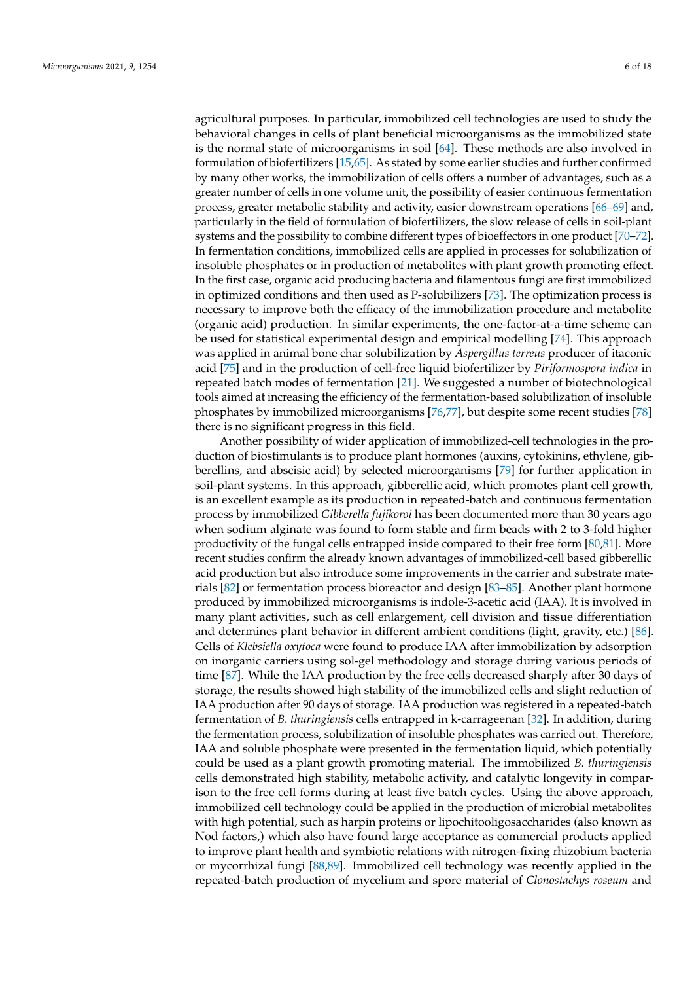agricultural purposes. In particular, immobilized cell technologies are used to study the behavioral changes in cells of plant beneficial microorganisms as the immobilized state is the normal state of microorganisms in soil [\[64\]](#page-14-9). These methods are also involved in formulation of biofertilizers [\[15](#page-12-10)[,65\]](#page-14-10). As stated by some earlier studies and further confirmed by many other works, the immobilization of cells offers a number of advantages, such as a greater number of cells in one volume unit, the possibility of easier continuous fermentation process, greater metabolic stability and activity, easier downstream operations [\[66–](#page-14-11)[69\]](#page-14-12) and, particularly in the field of formulation of biofertilizers, the slow release of cells in soil-plant systems and the possibility to combine different types of bioeffectors in one product [\[70](#page-14-13)[–72\]](#page-14-14). In fermentation conditions, immobilized cells are applied in processes for solubilization of insoluble phosphates or in production of metabolites with plant growth promoting effect. In the first case, organic acid producing bacteria and filamentous fungi are first immobilized in optimized conditions and then used as P-solubilizers [\[73\]](#page-14-15). The optimization process is necessary to improve both the efficacy of the immobilization procedure and metabolite (organic acid) production. In similar experiments, the one-factor-at-a-time scheme can be used for statistical experimental design and empirical modelling [\[74\]](#page-14-16). This approach was applied in animal bone char solubilization by *Aspergillus terreus* producer of itaconic acid [\[75\]](#page-14-17) and in the production of cell-free liquid biofertilizer by *Piriformospora indica* in repeated batch modes of fermentation [\[21\]](#page-12-14). We suggested a number of biotechnological tools aimed at increasing the efficiency of the fermentation-based solubilization of insoluble phosphates by immobilized microorganisms [\[76,](#page-14-18)[77\]](#page-14-19), but despite some recent studies [\[78\]](#page-14-20) there is no significant progress in this field.

Another possibility of wider application of immobilized-cell technologies in the production of biostimulants is to produce plant hormones (auxins, cytokinins, ethylene, gibberellins, and abscisic acid) by selected microorganisms [\[79\]](#page-14-21) for further application in soil-plant systems. In this approach, gibberellic acid, which promotes plant cell growth, is an excellent example as its production in repeated-batch and continuous fermentation process by immobilized *Gibberella fujikoroi* has been documented more than 30 years ago when sodium alginate was found to form stable and firm beads with 2 to 3-fold higher productivity of the fungal cells entrapped inside compared to their free form [\[80](#page-14-22)[,81\]](#page-14-23). More recent studies confirm the already known advantages of immobilized-cell based gibberellic acid production but also introduce some improvements in the carrier and substrate materials [\[82\]](#page-14-24) or fermentation process bioreactor and design [\[83](#page-14-25)[–85\]](#page-15-0). Another plant hormone produced by immobilized microorganisms is indole-3-acetic acid (IAA). It is involved in many plant activities, such as cell enlargement, cell division and tissue differentiation and determines plant behavior in different ambient conditions (light, gravity, etc.) [\[86\]](#page-15-1). Cells of *Klebsiella oxytoca* were found to produce IAA after immobilization by adsorption on inorganic carriers using sol-gel methodology and storage during various periods of time [\[87\]](#page-15-2). While the IAA production by the free cells decreased sharply after 30 days of storage, the results showed high stability of the immobilized cells and slight reduction of IAA production after 90 days of storage. IAA production was registered in a repeated-batch fermentation of *B. thuringiensis* cells entrapped in k-carrageenan [\[32\]](#page-13-4). In addition, during the fermentation process, solubilization of insoluble phosphates was carried out. Therefore, IAA and soluble phosphate were presented in the fermentation liquid, which potentially could be used as a plant growth promoting material. The immobilized *B. thuringiensis* cells demonstrated high stability, metabolic activity, and catalytic longevity in comparison to the free cell forms during at least five batch cycles. Using the above approach, immobilized cell technology could be applied in the production of microbial metabolites with high potential, such as harpin proteins or lipochitooligosaccharides (also known as Nod factors,) which also have found large acceptance as commercial products applied to improve plant health and symbiotic relations with nitrogen-fixing rhizobium bacteria or mycorrhizal fungi [\[88,](#page-15-3)[89\]](#page-15-4). Immobilized cell technology was recently applied in the repeated-batch production of mycelium and spore material of *Clonostachys roseum* and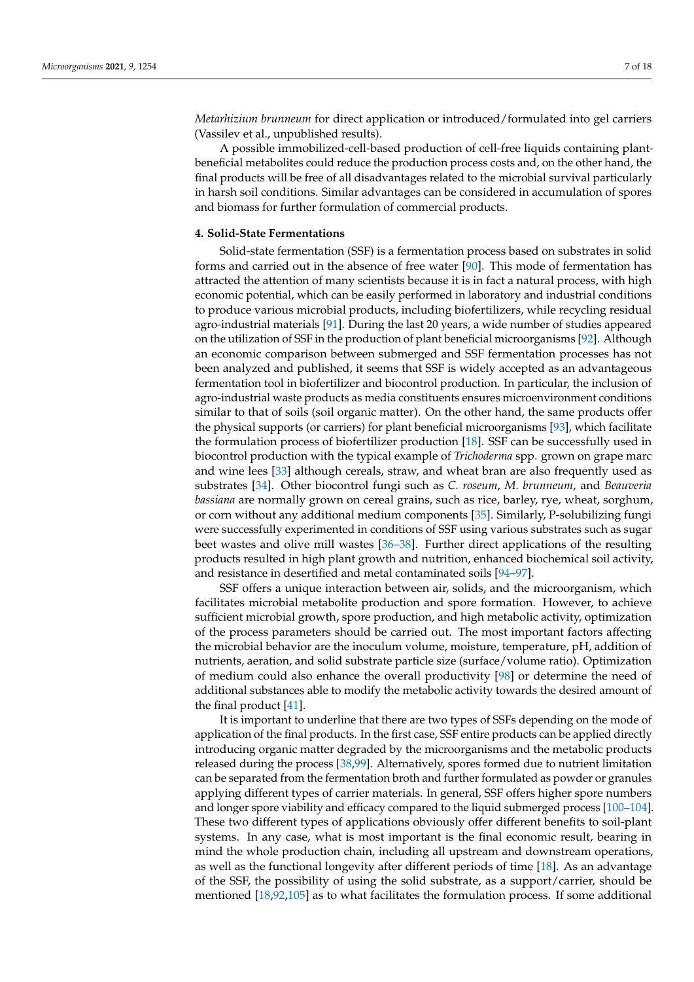*Metarhizium brunneum* for direct application or introduced/formulated into gel carriers (Vassilev et al., unpublished results).

A possible immobilized-cell-based production of cell-free liquids containing plantbeneficial metabolites could reduce the production process costs and, on the other hand, the final products will be free of all disadvantages related to the microbial survival particularly in harsh soil conditions. Similar advantages can be considered in accumulation of spores and biomass for further formulation of commercial products.

#### **4. Solid-State Fermentations**

Solid-state fermentation (SSF) is a fermentation process based on substrates in solid forms and carried out in the absence of free water [\[90\]](#page-15-5). This mode of fermentation has attracted the attention of many scientists because it is in fact a natural process, with high economic potential, which can be easily performed in laboratory and industrial conditions to produce various microbial products, including biofertilizers, while recycling residual agro-industrial materials [\[91\]](#page-15-6). During the last 20 years, a wide number of studies appeared on the utilization of SSF in the production of plant beneficial microorganisms [\[92\]](#page-15-7). Although an economic comparison between submerged and SSF fermentation processes has not been analyzed and published, it seems that SSF is widely accepted as an advantageous fermentation tool in biofertilizer and biocontrol production. In particular, the inclusion of agro-industrial waste products as media constituents ensures microenvironment conditions similar to that of soils (soil organic matter). On the other hand, the same products offer the physical supports (or carriers) for plant beneficial microorganisms [\[93\]](#page-15-8), which facilitate the formulation process of biofertilizer production [\[18\]](#page-12-11). SSF can be successfully used in biocontrol production with the typical example of *Trichoderma* spp. grown on grape marc and wine lees [\[33\]](#page-13-5) although cereals, straw, and wheat bran are also frequently used as substrates [\[34\]](#page-13-6). Other biocontrol fungi such as *C. roseum*, *M. brunneum*, and *Beauveria bassiana* are normally grown on cereal grains, such as rice, barley, rye, wheat, sorghum, or corn without any additional medium components [\[35\]](#page-13-7). Similarly, P-solubilizing fungi were successfully experimented in conditions of SSF using various substrates such as sugar beet wastes and olive mill wastes [\[36–](#page-13-8)[38\]](#page-13-9). Further direct applications of the resulting products resulted in high plant growth and nutrition, enhanced biochemical soil activity, and resistance in desertified and metal contaminated soils [\[94–](#page-15-9)[97\]](#page-15-10).

SSF offers a unique interaction between air, solids, and the microorganism, which facilitates microbial metabolite production and spore formation. However, to achieve sufficient microbial growth, spore production, and high metabolic activity, optimization of the process parameters should be carried out. The most important factors affecting the microbial behavior are the inoculum volume, moisture, temperature, pH, addition of nutrients, aeration, and solid substrate particle size (surface/volume ratio). Optimization of medium could also enhance the overall productivity [\[98\]](#page-15-11) or determine the need of additional substances able to modify the metabolic activity towards the desired amount of the final product [\[41\]](#page-13-12).

It is important to underline that there are two types of SSFs depending on the mode of application of the final products. In the first case, SSF entire products can be applied directly introducing organic matter degraded by the microorganisms and the metabolic products released during the process [\[38](#page-13-9)[,99\]](#page-15-12). Alternatively, spores formed due to nutrient limitation can be separated from the fermentation broth and further formulated as powder or granules applying different types of carrier materials. In general, SSF offers higher spore numbers and longer spore viability and efficacy compared to the liquid submerged process [\[100](#page-15-13)[–104\]](#page-15-14). These two different types of applications obviously offer different benefits to soil-plant systems. In any case, what is most important is the final economic result, bearing in mind the whole production chain, including all upstream and downstream operations, as well as the functional longevity after different periods of time [\[18\]](#page-12-11). As an advantage of the SSF, the possibility of using the solid substrate, as a support/carrier, should be mentioned [\[18,](#page-12-11)[92](#page-15-7)[,105\]](#page-15-15) as to what facilitates the formulation process. If some additional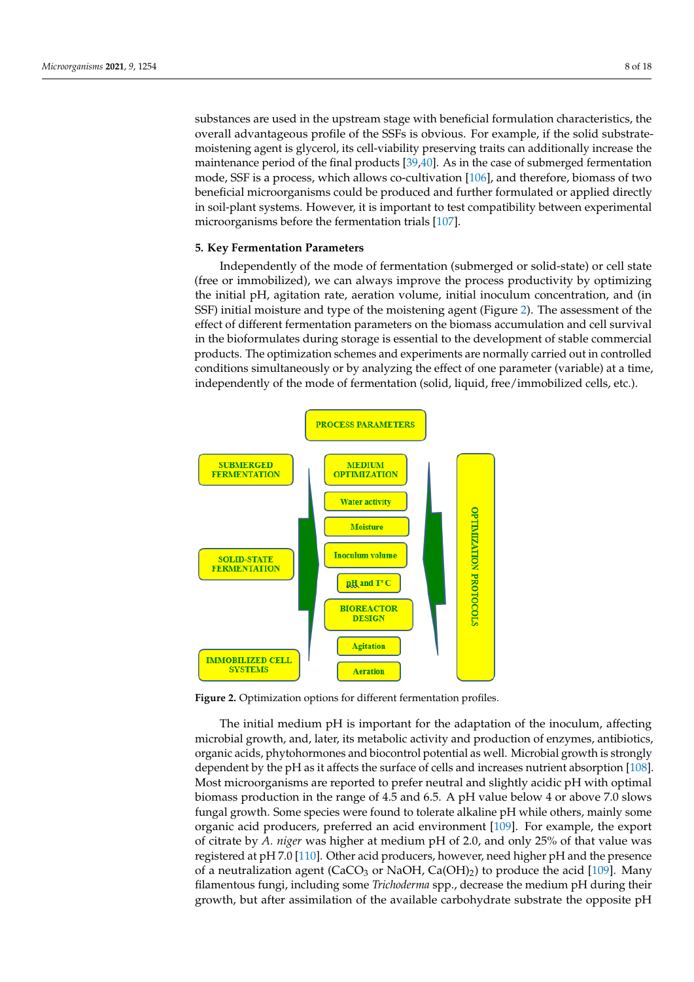substances are used in the upstream stage with beneficial formulation characteristics, the overall advantageous profile of the SSFs is obvious. For example, if the solid substratemoistening agent is glycerol, its cell-viability preserving traits can additionally increase the maintenance period of the final products [\[39,](#page-13-10)[40\]](#page-13-11). As in the case of submerged fermentation mode, SSF is a process, which allows co-cultivation [\[106\]](#page-15-16), and therefore, biomass of two beneficial microorganisms could be produced and further formulated or applied directly in soil-plant systems. However, it is important to test compatibility between experimental microorganisms before the fermentation trials [\[107\]](#page-15-17).

## **5. Key Fermentation Parameters**

Independently of the mode of fermentation (submerged or solid-state) or cell state (free or immobilized), we can always improve the process productivity by optimizing the initial pH, agitation rate, aeration volume, initial inoculum concentration, and (in SSF) initial moisture and type of the moistening agent (Figure [2\)](#page-7-0). The assessment of the effect of different fermentation parameters on the biomass accumulation and cell survival in the bioformulates during storage is essential to the development of stable commercial products. The optimization schemes and experiments are normally carried out in controlled <sup>1</sup> conditions simultaneously or by analyzing the effect of one parameter (variable) at a time, independently of the mode of fermentation (solid, liquid, free/immobilized cells, etc.).

<span id="page-7-0"></span>

**Figure 2.** Optimization options for different fermentation profiles. **Figure 2.** Optimization options for different fermentation profiles.

microbial growth, and, later, its metabolic activity and production of enzymes, antibiotics, organic acids, phytohormones and biocontrol potential as well. Microbial growth is strongly dependent by the pH as it affects the surface of cells and increases nutrient absorption [\[108\]](#page-15-18). Most microorganisms are reported to prefer neutral and slightly acidic pH with optimal biomass production in the range of 4.5 and 6.5. A pH value below 4 or above 7.0 slows fungal growth. Some species were found to tolerate alkaline pH while others, mainly some organic acid producers, preferred an acid environment [\[109\]](#page-15-19). For example, the export of citrate by *A. niger* was higher at medium pH of 2.0, and only 25% of that value was registered at pH 7.0 [\[110\]](#page-15-20). Other acid producers, however, need higher pH and the presence of a neutralization agent (CaCO<sub>3</sub> or NaOH, Ca(OH)<sub>2</sub>) to produce the acid [\[109\]](#page-15-19). Many filamentous fungi, including some *Trichoderma* spp., decrease the medium pH during their growth, but after assimilation of the available carbohydrate substrate the opposite pH The initial medium pH is important for the adaptation of the inoculum, affecting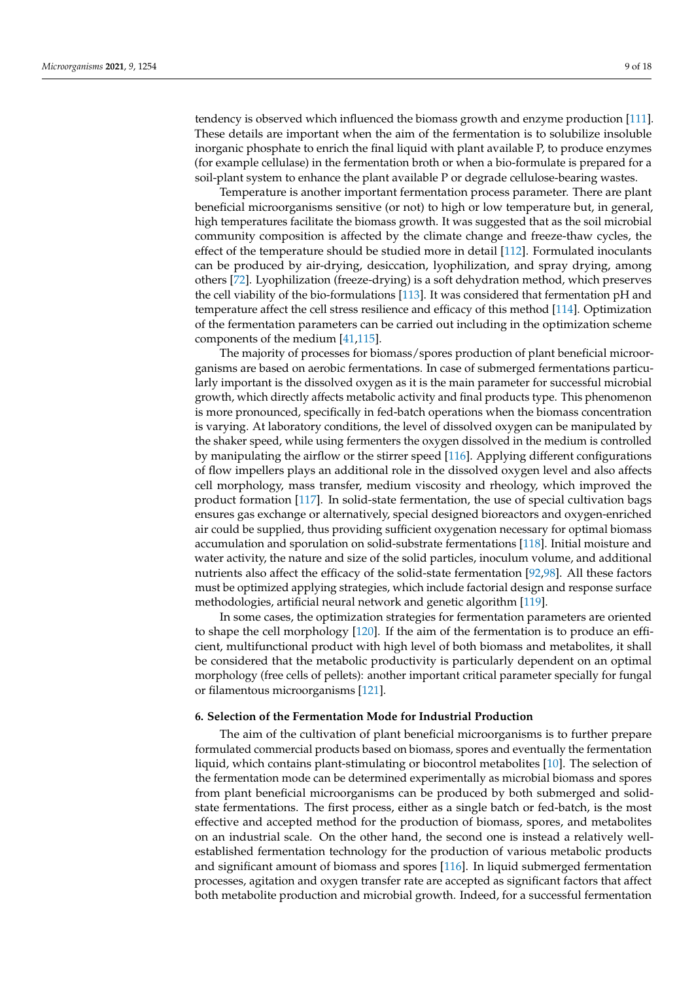tendency is observed which influenced the biomass growth and enzyme production [\[111\]](#page-15-21). These details are important when the aim of the fermentation is to solubilize insoluble inorganic phosphate to enrich the final liquid with plant available P, to produce enzymes (for example cellulase) in the fermentation broth or when a bio-formulate is prepared for a soil-plant system to enhance the plant available P or degrade cellulose-bearing wastes.

Temperature is another important fermentation process parameter. There are plant beneficial microorganisms sensitive (or not) to high or low temperature but, in general, high temperatures facilitate the biomass growth. It was suggested that as the soil microbial community composition is affected by the climate change and freeze-thaw cycles, the effect of the temperature should be studied more in detail [\[112\]](#page-16-0). Formulated inoculants can be produced by air-drying, desiccation, lyophilization, and spray drying, among others [\[72\]](#page-14-14). Lyophilization (freeze-drying) is a soft dehydration method, which preserves the cell viability of the bio-formulations [\[113\]](#page-16-1). It was considered that fermentation pH and temperature affect the cell stress resilience and efficacy of this method [\[114\]](#page-16-2). Optimization of the fermentation parameters can be carried out including in the optimization scheme components of the medium [\[41](#page-13-12)[,115\]](#page-16-3).

The majority of processes for biomass/spores production of plant beneficial microorganisms are based on aerobic fermentations. In case of submerged fermentations particularly important is the dissolved oxygen as it is the main parameter for successful microbial growth, which directly affects metabolic activity and final products type. This phenomenon is more pronounced, specifically in fed-batch operations when the biomass concentration is varying. At laboratory conditions, the level of dissolved oxygen can be manipulated by the shaker speed, while using fermenters the oxygen dissolved in the medium is controlled by manipulating the airflow or the stirrer speed [\[116\]](#page-16-4). Applying different configurations of flow impellers plays an additional role in the dissolved oxygen level and also affects cell morphology, mass transfer, medium viscosity and rheology, which improved the product formation [\[117\]](#page-16-5). In solid-state fermentation, the use of special cultivation bags ensures gas exchange or alternatively, special designed bioreactors and oxygen-enriched air could be supplied, thus providing sufficient oxygenation necessary for optimal biomass accumulation and sporulation on solid-substrate fermentations [\[118\]](#page-16-6). Initial moisture and water activity, the nature and size of the solid particles, inoculum volume, and additional nutrients also affect the efficacy of the solid-state fermentation [\[92,](#page-15-7)[98\]](#page-15-11). All these factors must be optimized applying strategies, which include factorial design and response surface methodologies, artificial neural network and genetic algorithm [\[119\]](#page-16-7).

In some cases, the optimization strategies for fermentation parameters are oriented to shape the cell morphology [\[120\]](#page-16-8). If the aim of the fermentation is to produce an efficient, multifunctional product with high level of both biomass and metabolites, it shall be considered that the metabolic productivity is particularly dependent on an optimal morphology (free cells of pellets): another important critical parameter specially for fungal or filamentous microorganisms [\[121\]](#page-16-9).

## **6. Selection of the Fermentation Mode for Industrial Production**

The aim of the cultivation of plant beneficial microorganisms is to further prepare formulated commercial products based on biomass, spores and eventually the fermentation liquid, which contains plant-stimulating or biocontrol metabolites [\[10\]](#page-12-4). The selection of the fermentation mode can be determined experimentally as microbial biomass and spores from plant beneficial microorganisms can be produced by both submerged and solidstate fermentations. The first process, either as a single batch or fed-batch, is the most effective and accepted method for the production of biomass, spores, and metabolites on an industrial scale. On the other hand, the second one is instead a relatively wellestablished fermentation technology for the production of various metabolic products and significant amount of biomass and spores [\[116\]](#page-16-4). In liquid submerged fermentation processes, agitation and oxygen transfer rate are accepted as significant factors that affect both metabolite production and microbial growth. Indeed, for a successful fermentation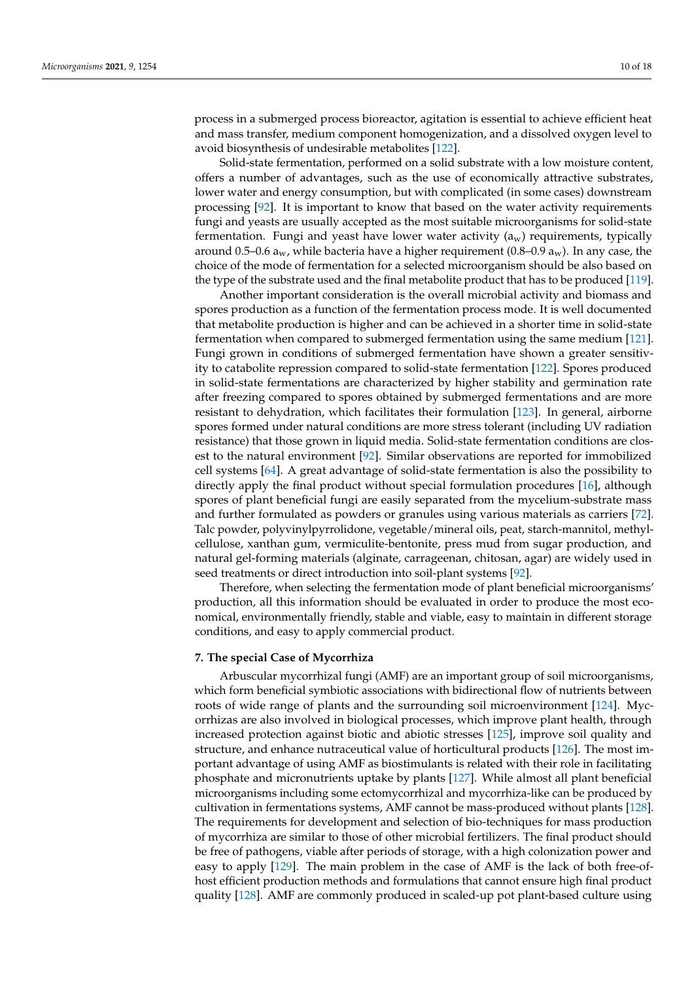process in a submerged process bioreactor, agitation is essential to achieve efficient heat and mass transfer, medium component homogenization, and a dissolved oxygen level to avoid biosynthesis of undesirable metabolites [\[122\]](#page-16-10).

Solid-state fermentation, performed on a solid substrate with a low moisture content, offers a number of advantages, such as the use of economically attractive substrates, lower water and energy consumption, but with complicated (in some cases) downstream processing [\[92\]](#page-15-7). It is important to know that based on the water activity requirements fungi and yeasts are usually accepted as the most suitable microorganisms for solid-state fermentation. Fungi and yeast have lower water activity  $(a_w)$  requirements, typically around 0.5–0.6  $a_w$ , while bacteria have a higher requirement (0.8–0.9  $a_w$ ). In any case, the choice of the mode of fermentation for a selected microorganism should be also based on the type of the substrate used and the final metabolite product that has to be produced [\[119\]](#page-16-7).

Another important consideration is the overall microbial activity and biomass and spores production as a function of the fermentation process mode. It is well documented that metabolite production is higher and can be achieved in a shorter time in solid-state fermentation when compared to submerged fermentation using the same medium [\[121\]](#page-16-9). Fungi grown in conditions of submerged fermentation have shown a greater sensitivity to catabolite repression compared to solid-state fermentation [\[122\]](#page-16-10). Spores produced in solid-state fermentations are characterized by higher stability and germination rate after freezing compared to spores obtained by submerged fermentations and are more resistant to dehydration, which facilitates their formulation [\[123\]](#page-16-11). In general, airborne spores formed under natural conditions are more stress tolerant (including UV radiation resistance) that those grown in liquid media. Solid-state fermentation conditions are closest to the natural environment [\[92\]](#page-15-7). Similar observations are reported for immobilized cell systems [\[64\]](#page-14-9). A great advantage of solid-state fermentation is also the possibility to directly apply the final product without special formulation procedures [\[16\]](#page-12-9), although spores of plant beneficial fungi are easily separated from the mycelium-substrate mass and further formulated as powders or granules using various materials as carriers [\[72\]](#page-14-14). Talc powder, polyvinylpyrrolidone, vegetable/mineral oils, peat, starch-mannitol, methylcellulose, xanthan gum, vermiculite-bentonite, press mud from sugar production, and natural gel-forming materials (alginate, carrageenan, chitosan, agar) are widely used in seed treatments or direct introduction into soil-plant systems [\[92\]](#page-15-7).

Therefore, when selecting the fermentation mode of plant beneficial microorganisms' production, all this information should be evaluated in order to produce the most economical, environmentally friendly, stable and viable, easy to maintain in different storage conditions, and easy to apply commercial product.

## **7. The special Case of Mycorrhiza**

Arbuscular mycorrhizal fungi (AMF) are an important group of soil microorganisms, which form beneficial symbiotic associations with bidirectional flow of nutrients between roots of wide range of plants and the surrounding soil microenvironment [\[124\]](#page-16-12). Mycorrhizas are also involved in biological processes, which improve plant health, through increased protection against biotic and abiotic stresses [\[125\]](#page-16-13), improve soil quality and structure, and enhance nutraceutical value of horticultural products [\[126\]](#page-16-14). The most important advantage of using AMF as biostimulants is related with their role in facilitating phosphate and micronutrients uptake by plants [\[127\]](#page-16-15). While almost all plant beneficial microorganisms including some ectomycorrhizal and mycorrhiza-like can be produced by cultivation in fermentations systems, AMF cannot be mass-produced without plants [\[128\]](#page-16-16). The requirements for development and selection of bio-techniques for mass production of mycorrhiza are similar to those of other microbial fertilizers. The final product should be free of pathogens, viable after periods of storage, with a high colonization power and easy to apply [\[129\]](#page-16-17). The main problem in the case of AMF is the lack of both free-ofhost efficient production methods and formulations that cannot ensure high final product quality [\[128\]](#page-16-16). AMF are commonly produced in scaled-up pot plant-based culture using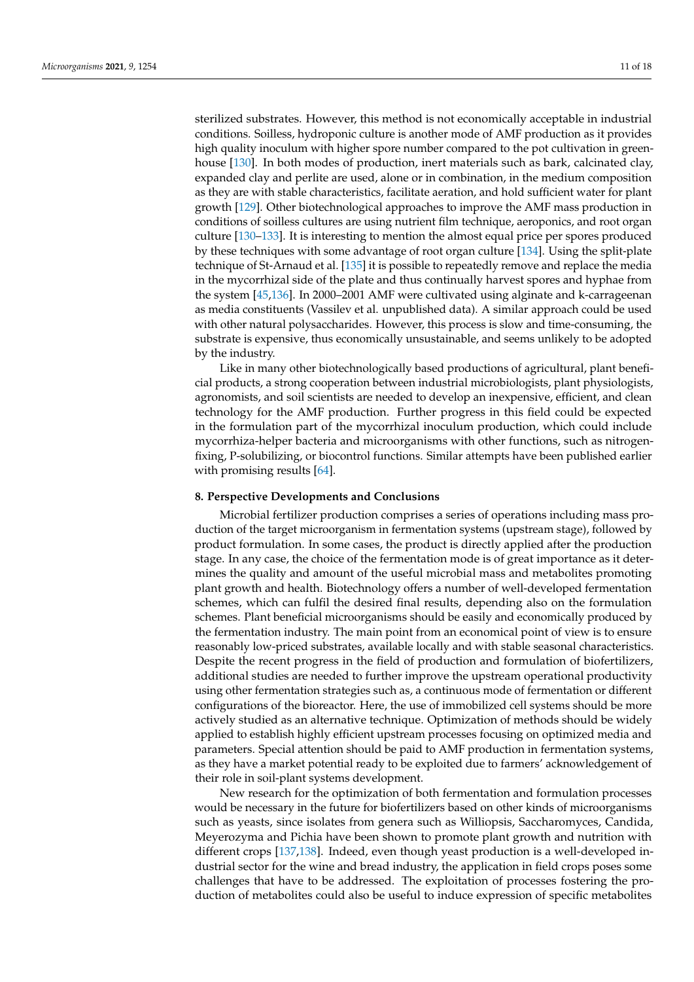sterilized substrates. However, this method is not economically acceptable in industrial conditions. Soilless, hydroponic culture is another mode of AMF production as it provides high quality inoculum with higher spore number compared to the pot cultivation in greenhouse [\[130\]](#page-16-18). In both modes of production, inert materials such as bark, calcinated clay, expanded clay and perlite are used, alone or in combination, in the medium composition as they are with stable characteristics, facilitate aeration, and hold sufficient water for plant growth [\[129\]](#page-16-17). Other biotechnological approaches to improve the AMF mass production in conditions of soilless cultures are using nutrient film technique, aeroponics, and root organ culture [\[130](#page-16-18)[–133\]](#page-16-19). It is interesting to mention the almost equal price per spores produced by these techniques with some advantage of root organ culture [\[134\]](#page-16-20). Using the split-plate technique of St-Arnaud et al. [\[135\]](#page-16-21) it is possible to repeatedly remove and replace the media in the mycorrhizal side of the plate and thus continually harvest spores and hyphae from the system [\[45](#page-13-16)[,136\]](#page-16-22). In 2000–2001 AMF were cultivated using alginate and k-carrageenan as media constituents (Vassilev et al. unpublished data). A similar approach could be used with other natural polysaccharides. However, this process is slow and time-consuming, the substrate is expensive, thus economically unsustainable, and seems unlikely to be adopted by the industry.

Like in many other biotechnologically based productions of agricultural, plant beneficial products, a strong cooperation between industrial microbiologists, plant physiologists, agronomists, and soil scientists are needed to develop an inexpensive, efficient, and clean technology for the AMF production. Further progress in this field could be expected in the formulation part of the mycorrhizal inoculum production, which could include mycorrhiza-helper bacteria and microorganisms with other functions, such as nitrogenfixing, P-solubilizing, or biocontrol functions. Similar attempts have been published earlier with promising results [\[64\]](#page-14-9).

#### **8. Perspective Developments and Conclusions**

Microbial fertilizer production comprises a series of operations including mass production of the target microorganism in fermentation systems (upstream stage), followed by product formulation. In some cases, the product is directly applied after the production stage. In any case, the choice of the fermentation mode is of great importance as it determines the quality and amount of the useful microbial mass and metabolites promoting plant growth and health. Biotechnology offers a number of well-developed fermentation schemes, which can fulfil the desired final results, depending also on the formulation schemes. Plant beneficial microorganisms should be easily and economically produced by the fermentation industry. The main point from an economical point of view is to ensure reasonably low-priced substrates, available locally and with stable seasonal characteristics. Despite the recent progress in the field of production and formulation of biofertilizers, additional studies are needed to further improve the upstream operational productivity using other fermentation strategies such as, a continuous mode of fermentation or different configurations of the bioreactor. Here, the use of immobilized cell systems should be more actively studied as an alternative technique. Optimization of methods should be widely applied to establish highly efficient upstream processes focusing on optimized media and parameters. Special attention should be paid to AMF production in fermentation systems, as they have a market potential ready to be exploited due to farmers' acknowledgement of their role in soil-plant systems development.

New research for the optimization of both fermentation and formulation processes would be necessary in the future for biofertilizers based on other kinds of microorganisms such as yeasts, since isolates from genera such as Williopsis, Saccharomyces, Candida, Meyerozyma and Pichia have been shown to promote plant growth and nutrition with different crops [\[137,](#page-16-23)[138\]](#page-17-0). Indeed, even though yeast production is a well-developed industrial sector for the wine and bread industry, the application in field crops poses some challenges that have to be addressed. The exploitation of processes fostering the production of metabolites could also be useful to induce expression of specific metabolites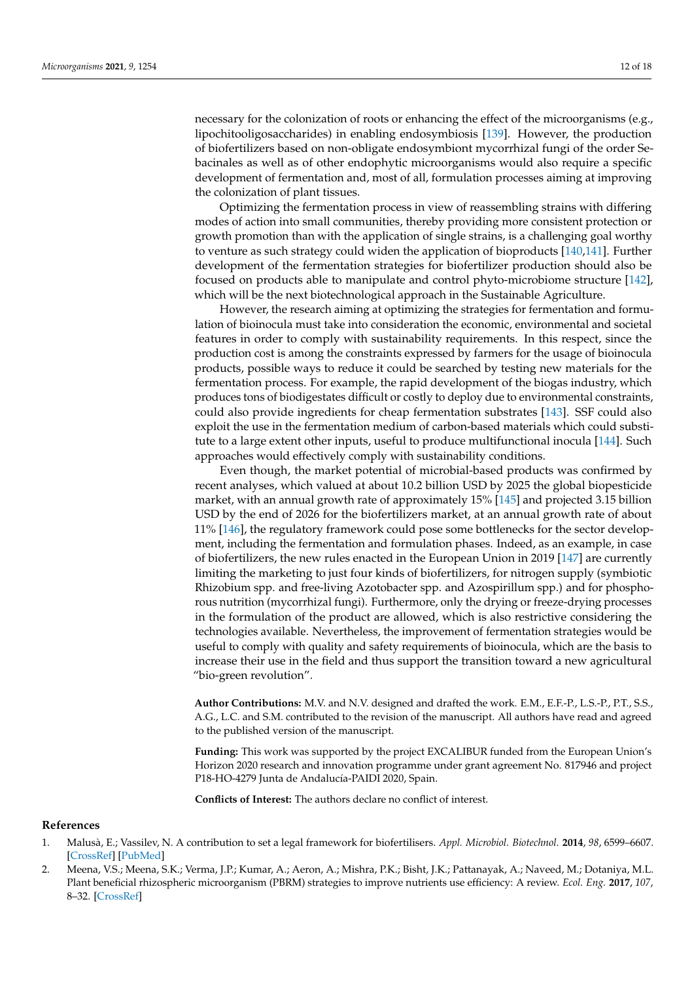necessary for the colonization of roots or enhancing the effect of the microorganisms (e.g., lipochitooligosaccharides) in enabling endosymbiosis [\[139\]](#page-17-1). However, the production of biofertilizers based on non-obligate endosymbiont mycorrhizal fungi of the order Sebacinales as well as of other endophytic microorganisms would also require a specific development of fermentation and, most of all, formulation processes aiming at improving the colonization of plant tissues.

Optimizing the fermentation process in view of reassembling strains with differing modes of action into small communities, thereby providing more consistent protection or growth promotion than with the application of single strains, is a challenging goal worthy to venture as such strategy could widen the application of bioproducts [\[140,](#page-17-2)[141\]](#page-17-3). Further development of the fermentation strategies for biofertilizer production should also be focused on products able to manipulate and control phyto-microbiome structure [\[142\]](#page-17-4), which will be the next biotechnological approach in the Sustainable Agriculture.

However, the research aiming at optimizing the strategies for fermentation and formulation of bioinocula must take into consideration the economic, environmental and societal features in order to comply with sustainability requirements. In this respect, since the production cost is among the constraints expressed by farmers for the usage of bioinocula products, possible ways to reduce it could be searched by testing new materials for the fermentation process. For example, the rapid development of the biogas industry, which produces tons of biodigestates difficult or costly to deploy due to environmental constraints, could also provide ingredients for cheap fermentation substrates [\[143\]](#page-17-5). SSF could also exploit the use in the fermentation medium of carbon-based materials which could substitute to a large extent other inputs, useful to produce multifunctional inocula [\[144\]](#page-17-6). Such approaches would effectively comply with sustainability conditions.

Even though, the market potential of microbial-based products was confirmed by recent analyses, which valued at about 10.2 billion USD by 2025 the global biopesticide market, with an annual growth rate of approximately 15% [\[145\]](#page-17-7) and projected 3.15 billion USD by the end of 2026 for the biofertilizers market, at an annual growth rate of about 11% [\[146\]](#page-17-8), the regulatory framework could pose some bottlenecks for the sector development, including the fermentation and formulation phases. Indeed, as an example, in case of biofertilizers, the new rules enacted in the European Union in 2019 [\[147\]](#page-17-9) are currently limiting the marketing to just four kinds of biofertilizers, for nitrogen supply (symbiotic Rhizobium spp. and free-living Azotobacter spp. and Azospirillum spp.) and for phosphorous nutrition (mycorrhizal fungi). Furthermore, only the drying or freeze-drying processes in the formulation of the product are allowed, which is also restrictive considering the technologies available. Nevertheless, the improvement of fermentation strategies would be useful to comply with quality and safety requirements of bioinocula, which are the basis to increase their use in the field and thus support the transition toward a new agricultural "bio-green revolution".

**Author Contributions:** M.V. and N.V. designed and drafted the work. E.M., E.F.-P., L.S.-P., P.T., S.S., A.G., L.C. and S.M. contributed to the revision of the manuscript. All authors have read and agreed to the published version of the manuscript.

**Funding:** This work was supported by the project EXCALIBUR funded from the European Union's Horizon 2020 research and innovation programme under grant agreement No. 817946 and project P18-HO-4279 Junta de Andalucía-PAIDI 2020, Spain.

**Conflicts of Interest:** The authors declare no conflict of interest.

### **References**

- <span id="page-11-0"></span>1. Malusà, E.; Vassilev, N. A contribution to set a legal framework for biofertilisers. *Appl. Microbiol. Biotechnol.* **2014**, *98*, 6599–6607. [\[CrossRef\]](http://doi.org/10.1007/s00253-014-5828-y) [\[PubMed\]](http://www.ncbi.nlm.nih.gov/pubmed/24903811)
- <span id="page-11-1"></span>2. Meena, V.S.; Meena, S.K.; Verma, J.P.; Kumar, A.; Aeron, A.; Mishra, P.K.; Bisht, J.K.; Pattanayak, A.; Naveed, M.; Dotaniya, M.L. Plant beneficial rhizospheric microorganism (PBRM) strategies to improve nutrients use efficiency: A review. *Ecol. Eng.* **2017**, *107*, 8–32. [\[CrossRef\]](http://doi.org/10.1016/j.ecoleng.2017.06.058)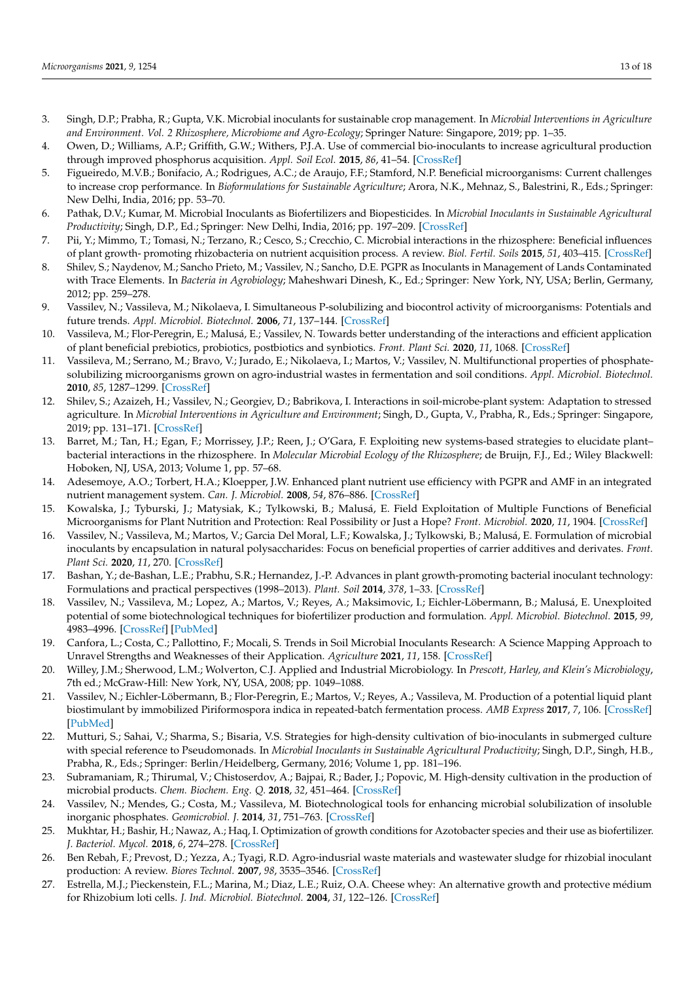- <span id="page-12-0"></span>3. Singh, D.P.; Prabha, R.; Gupta, V.K. Microbial inoculants for sustainable crop management. In *Microbial Interventions in Agriculture and Environment. Vol. 2 Rhizosphere, Microbiome and Agro-Ecology*; Springer Nature: Singapore, 2019; pp. 1–35.
- <span id="page-12-1"></span>4. Owen, D.; Williams, A.P.; Griffith, G.W.; Withers, P.J.A. Use of commercial bio-inoculants to increase agricultural production through improved phosphorus acquisition. *Appl. Soil Ecol.* **2015**, *86*, 41–54. [\[CrossRef\]](http://doi.org/10.1016/j.apsoil.2014.09.012)
- 5. Figueiredo, M.V.B.; Bonifacio, A.; Rodrigues, A.C.; de Araujo, F.F.; Stamford, N.P. Beneficial microorganisms: Current challenges to increase crop performance. In *Bioformulations for Sustainable Agriculture*; Arora, N.K., Mehnaz, S., Balestrini, R., Eds.; Springer: New Delhi, India, 2016; pp. 53–70.
- <span id="page-12-2"></span>6. Pathak, D.V.; Kumar, M. Microbial Inoculants as Biofertilizers and Biopesticides. In *Microbial Inoculants in Sustainable Agricultural Productivity*; Singh, D.P., Ed.; Springer: New Delhi, India, 2016; pp. 197–209. [\[CrossRef\]](http://doi.org/10.1007/978-81-322-2647-5_11)
- <span id="page-12-3"></span>7. Pii, Y.; Mimmo, T.; Tomasi, N.; Terzano, R.; Cesco, S.; Crecchio, C. Microbial interactions in the rhizosphere: Beneficial influences of plant growth- promoting rhizobacteria on nutrient acquisition process. A review. *Biol. Fertil. Soils* **2015**, *51*, 403–415. [\[CrossRef\]](http://doi.org/10.1007/s00374-015-0996-1)
- 8. Shilev, S.; Naydenov, M.; Sancho Prieto, M.; Vassilev, N.; Sancho, D.E. PGPR as Inoculants in Management of Lands Contaminated with Trace Elements. In *Bacteria in Agrobiology*; Maheshwari Dinesh, K., Ed.; Springer: New York, NY, USA; Berlin, Germany, 2012; pp. 259–278.
- 9. Vassilev, N.; Vassileva, M.; Nikolaeva, I. Simultaneous P-solubilizing and biocontrol activity of microorganisms: Potentials and future trends. *Appl. Microbiol. Biotechnol.* **2006**, *71*, 137–144. [\[CrossRef\]](http://doi.org/10.1007/s00253-006-0380-z)
- <span id="page-12-4"></span>10. Vassileva, M.; Flor-Peregrin, E.; Malusá, E.; Vassilev, N. Towards better understanding of the interactions and efficient application of plant beneficial prebiotics, probiotics, postbiotics and synbiotics. *Front. Plant Sci.* **2020**, *11*, 1068. [\[CrossRef\]](http://doi.org/10.3389/fpls.2020.01068)
- <span id="page-12-5"></span>11. Vassileva, M.; Serrano, M.; Bravo, V.; Jurado, E.; Nikolaeva, I.; Martos, V.; Vassilev, N. Multifunctional properties of phosphatesolubilizing microorganisms grown on agro-industrial wastes in fermentation and soil conditions. *Appl. Microbiol. Biotechnol.* **2010**, *85*, 1287–1299. [\[CrossRef\]](http://doi.org/10.1007/s00253-009-2366-0)
- <span id="page-12-6"></span>12. Shilev, S.; Azaizeh, H.; Vassilev, N.; Georgiev, D.; Babrikova, I. Interactions in soil-microbe-plant system: Adaptation to stressed agriculture. In *Microbial Interventions in Agriculture and Environment*; Singh, D., Gupta, V., Prabha, R., Eds.; Springer: Singapore, 2019; pp. 131–171. [\[CrossRef\]](http://doi.org/10.1007/978-981-13-8391-5_6)
- <span id="page-12-7"></span>13. Barret, M.; Tan, H.; Egan, F.; Morrissey, J.P.; Reen, J.; O'Gara, F. Exploiting new systems-based strategies to elucidate plant– bacterial interactions in the rhizosphere. In *Molecular Microbial Ecology of the Rhizosphere*; de Bruijn, F.J., Ed.; Wiley Blackwell: Hoboken, NJ, USA, 2013; Volume 1, pp. 57–68.
- <span id="page-12-8"></span>14. Adesemoye, A.O.; Torbert, H.A.; Kloepper, J.W. Enhanced plant nutrient use efficiency with PGPR and AMF in an integrated nutrient management system. *Can. J. Microbiol.* **2008**, *54*, 876–886. [\[CrossRef\]](http://doi.org/10.1139/W08-081)
- <span id="page-12-10"></span>15. Kowalska, J.; Tyburski, J.; Matysiak, K.; Tylkowski, B.; Malusá, E. Field Exploitation of Multiple Functions of Beneficial Microorganisms for Plant Nutrition and Protection: Real Possibility or Just a Hope? *Front. Microbiol.* **2020**, *11*, 1904. [\[CrossRef\]](http://doi.org/10.3389/fmicb.2020.01904)
- <span id="page-12-9"></span>16. Vassilev, N.; Vassileva, M.; Martos, V.; Garcia Del Moral, L.F.; Kowalska, J.; Tylkowski, B.; Malusá, E. Formulation of microbial inoculants by encapsulation in natural polysaccharides: Focus on beneficial properties of carrier additives and derivates. *Front. Plant Sci.* **2020**, *11*, 270. [\[CrossRef\]](http://doi.org/10.3389/fpls.2020.00270)
- 17. Bashan, Y.; de-Bashan, L.E.; Prabhu, S.R.; Hernandez, J.-P. Advances in plant growth-promoting bacterial inoculant technology: Formulations and practical perspectives (1998–2013). *Plant. Soil* **2014**, *378*, 1–33. [\[CrossRef\]](http://doi.org/10.1007/s11104-013-1956-x)
- <span id="page-12-11"></span>18. Vassilev, N.; Vassileva, M.; Lopez, A.; Martos, V.; Reyes, A.; Maksimovic, I.; Eichler-Löbermann, B.; Malusá, E. Unexploited potential of some biotechnological techniques for biofertilizer production and formulation. *Appl. Microbiol. Biotechnol.* **2015**, *99*, 4983–4996. [\[CrossRef\]](http://doi.org/10.1007/s00253-015-6656-4) [\[PubMed\]](http://www.ncbi.nlm.nih.gov/pubmed/25957155)
- <span id="page-12-12"></span>19. Canfora, L.; Costa, C.; Pallottino, F.; Mocali, S. Trends in Soil Microbial Inoculants Research: A Science Mapping Approach to Unravel Strengths and Weaknesses of their Application. *Agriculture* **2021**, *11*, 158. [\[CrossRef\]](http://doi.org/10.3390/agriculture11020158)
- <span id="page-12-13"></span>20. Willey, J.M.; Sherwood, L.M.; Wolverton, C.J. Applied and Industrial Microbiology. In *Prescott, Harley, and Klein's Microbiology*, 7th ed.; McGraw-Hill: New York, NY, USA, 2008; pp. 1049–1088.
- <span id="page-12-14"></span>21. Vassilev, N.; Eichler-Löbermann, B.; Flor-Peregrin, E.; Martos, V.; Reyes, A.; Vassileva, M. Production of a potential liquid plant biostimulant by immobilized Piriformospora indica in repeated-batch fermentation process. *AMB Express* **2017**, *7*, 106. [\[CrossRef\]](http://doi.org/10.1186/s13568-017-0408-z) [\[PubMed\]](http://www.ncbi.nlm.nih.gov/pubmed/28549373)
- <span id="page-12-15"></span>22. Mutturi, S.; Sahai, V.; Sharma, S.; Bisaria, V.S. Strategies for high-density cultivation of bio-inoculants in submerged culture with special reference to Pseudomonads. In *Microbial Inoculants in Sustainable Agricultural Productivity*; Singh, D.P., Singh, H.B., Prabha, R., Eds.; Springer: Berlin/Heidelberg, Germany, 2016; Volume 1, pp. 181–196.
- <span id="page-12-16"></span>23. Subramaniam, R.; Thirumal, V.; Chistoserdov, A.; Bajpai, R.; Bader, J.; Popovic, M. High-density cultivation in the production of microbial products. *Chem. Biochem. Eng. Q.* **2018**, *32*, 451–464. [\[CrossRef\]](http://doi.org/10.15255/CABEQ.2018.1394)
- <span id="page-12-17"></span>24. Vassilev, N.; Mendes, G.; Costa, M.; Vassileva, M. Biotechnological tools for enhancing microbial solubilization of insoluble inorganic phosphates. *Geomicrobiol. J.* **2014**, *31*, 751–763. [\[CrossRef\]](http://doi.org/10.1080/01490451.2013.822615)
- <span id="page-12-18"></span>25. Mukhtar, H.; Bashir, H.; Nawaz, A.; Haq, I. Optimization of growth conditions for Azotobacter species and their use as biofertilizer. *J. Bacteriol. Mycol.* **2018**, *6*, 274–278. [\[CrossRef\]](http://doi.org/10.15406/jbmoa.2018.06.00217)
- <span id="page-12-19"></span>26. Ben Rebah, F.; Prevost, D.; Yezza, A.; Tyagi, R.D. Agro-indusrial waste materials and wastewater sludge for rhizobial inoculant production: A review. *Biores Technol.* **2007**, *98*, 3535–3546. [\[CrossRef\]](http://doi.org/10.1016/j.biortech.2006.11.066)
- <span id="page-12-20"></span>27. Estrella, M.J.; Pieckenstein, F.L.; Marina, M.; Diaz, L.E.; Ruiz, O.A. Cheese whey: An alternative growth and protective médium for Rhizobium loti cells. *J. Ind. Microbiol. Biotechnol.* **2004**, *31*, 122–126. [\[CrossRef\]](http://doi.org/10.1007/s10295-004-0124-y)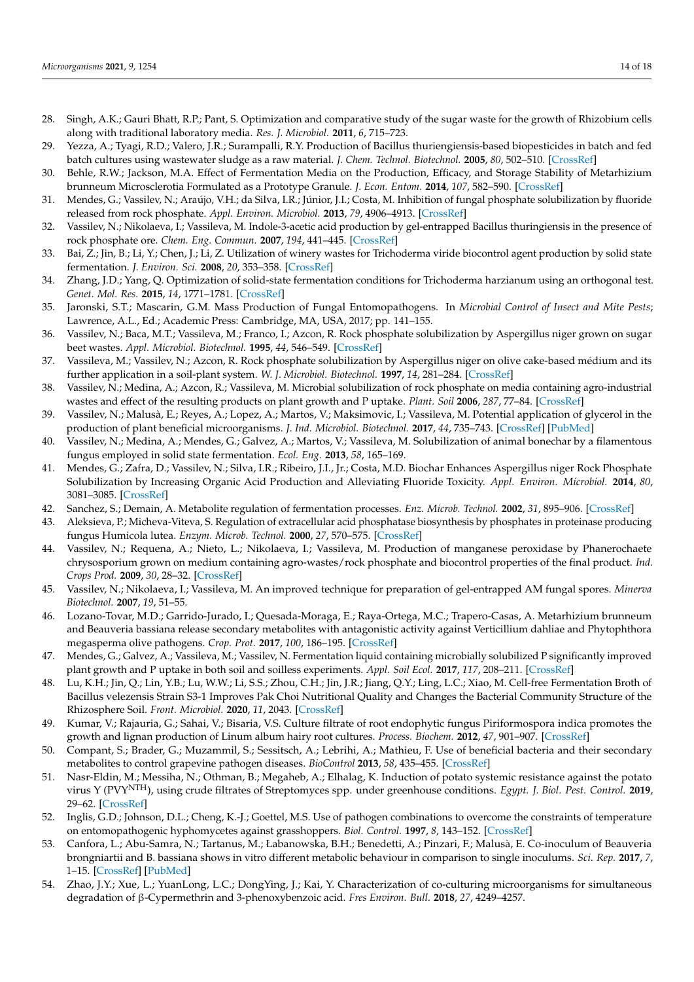- <span id="page-13-0"></span>28. Singh, A.K.; Gauri Bhatt, R.P.; Pant, S. Optimization and comparative study of the sugar waste for the growth of Rhizobium cells along with traditional laboratory media. *Res. J. Microbiol.* **2011**, *6*, 715–723.
- <span id="page-13-1"></span>29. Yezza, A.; Tyagi, R.D.; Valero, J.R.; Surampalli, R.Y. Production of Bacillus thuriengiensis-based biopesticides in batch and fed batch cultures using wastewater sludge as a raw material. *J. Chem. Technol. Biotechnol.* **2005**, *80*, 502–510. [\[CrossRef\]](http://doi.org/10.1002/jctb.1204)
- <span id="page-13-2"></span>30. Behle, R.W.; Jackson, M.A. Effect of Fermentation Media on the Production, Efficacy, and Storage Stability of Metarhizium brunneum Microsclerotia Formulated as a Prototype Granule. *J. Econ. Entom.* **2014**, *107*, 582–590. [\[CrossRef\]](http://doi.org/10.1603/EC13426)
- <span id="page-13-3"></span>31. Mendes, G.; Vassilev, N.; Araújo, V.H.; da Silva, I.R.; Júnior, J.I.; Costa, M. Inhibition of fungal phosphate solubilization by fluoride released from rock phosphate. *Appl. Environ. Microbiol.* **2013**, *79*, 4906–4913. [\[CrossRef\]](http://doi.org/10.1128/AEM.01487-13)
- <span id="page-13-4"></span>32. Vassilev, N.; Nikolaeva, I.; Vassileva, M. Indole-3-acetic acid production by gel-entrapped Bacillus thuringiensis in the presence of rock phosphate ore. *Chem. Eng. Commun.* **2007**, *194*, 441–445. [\[CrossRef\]](http://doi.org/10.1080/00986440600983486)
- <span id="page-13-5"></span>33. Bai, Z.; Jin, B.; Li, Y.; Chen, J.; Li, Z. Utilization of winery wastes for Trichoderma viride biocontrol agent production by solid state fermentation. *J. Environ. Sci.* **2008**, *20*, 353–358. [\[CrossRef\]](http://doi.org/10.1016/S1001-0742(08)60055-8)
- <span id="page-13-6"></span>34. Zhang, J.D.; Yang, Q. Optimization of solid-state fermentation conditions for Trichoderma harzianum using an orthogonal test. *Genet. Mol. Res.* **2015**, *14*, 1771–1781. [\[CrossRef\]](http://doi.org/10.4238/2015.March.13.4)
- <span id="page-13-7"></span>35. Jaronski, S.T.; Mascarin, G.M. Mass Production of Fungal Entomopathogens. In *Microbial Control of Insect and Mite Pests*; Lawrence, A.L., Ed.; Academic Press: Cambridge, MA, USA, 2017; pp. 141–155.
- <span id="page-13-8"></span>36. Vassilev, N.; Baca, M.T.; Vassileva, M.; Franco, I.; Azcon, R. Rock phosphate solubilization by Aspergillus niger grown on sugar beet wastes. *Appl. Microbiol. Biotechnol.* **1995**, *44*, 546–549. [\[CrossRef\]](http://doi.org/10.1007/BF00169958)
- 37. Vassileva, M.; Vassilev, N.; Azcon, R. Rock phosphate solubilization by Aspergillus niger on olive cake-based médium and its further application in a soil-plant system. *W. J. Microbiol. Biotechnol.* **1997**, *14*, 281–284. [\[CrossRef\]](http://doi.org/10.1023/A:1008858802855)
- <span id="page-13-9"></span>38. Vassilev, N.; Medina, A.; Azcon, R.; Vassileva, M. Microbial solubilization of rock phosphate on media containing agro-industrial wastes and effect of the resulting products on plant growth and P uptake. *Plant. Soil* **2006**, *287*, 77–84. [\[CrossRef\]](http://doi.org/10.1007/s11104-006-9054-y)
- <span id="page-13-10"></span>39. Vassilev, N.; Malusà, E.; Reyes, A.; Lopez, A.; Martos, V.; Maksimovic, I.; Vassileva, M. Potential application of glycerol in the production of plant beneficial microorganisms. *J. Ind. Microbiol. Biotechnol.* **2017**, *44*, 735–743. [\[CrossRef\]](http://doi.org/10.1007/s10295-016-1810-2) [\[PubMed\]](http://www.ncbi.nlm.nih.gov/pubmed/27514665)
- <span id="page-13-11"></span>40. Vassilev, N.; Medina, A.; Mendes, G.; Galvez, A.; Martos, V.; Vassileva, M. Solubilization of animal bonechar by a filamentous fungus employed in solid state fermentation. *Ecol. Eng.* **2013**, *58*, 165–169.
- <span id="page-13-12"></span>41. Mendes, G.; Zafra, D.; Vassilev, N.; Silva, I.R.; Ribeiro, J.I., Jr.; Costa, M.D. Biochar Enhances Aspergillus niger Rock Phosphate Solubilization by Increasing Organic Acid Production and Alleviating Fluoride Toxicity. *Appl. Environ. Microbiol.* **2014**, *80*, 3081–3085. [\[CrossRef\]](http://doi.org/10.1128/AEM.00241-14)
- <span id="page-13-13"></span>42. Sanchez, S.; Demain, A. Metabolite regulation of fermentation processes. *Enz. Microb. Technol.* **2002**, *31*, 895–906. [\[CrossRef\]](http://doi.org/10.1016/S0141-0229(02)00172-2)
- <span id="page-13-14"></span>43. Aleksieva, P.; Micheva-Viteva, S. Regulation of extracellular acid phosphatase biosynthesis by phosphates in proteinase producing fungus Humicola lutea. *Enzym. Microb. Technol.* **2000**, *27*, 570–575. [\[CrossRef\]](http://doi.org/10.1016/S0141-0229(00)00237-4)
- <span id="page-13-15"></span>44. Vassilev, N.; Requena, A.; Nieto, L.; Nikolaeva, I.; Vassileva, M. Production of manganese peroxidase by Phanerochaete chrysosporium grown on medium containing agro-wastes/rock phosphate and biocontrol properties of the final product. *Ind. Crops Prod.* **2009**, *30*, 28–32. [\[CrossRef\]](http://doi.org/10.1016/j.indcrop.2009.01.001)
- <span id="page-13-16"></span>45. Vassilev, N.; Nikolaeva, I.; Vassileva, M. An improved technique for preparation of gel-entrapped AM fungal spores. *Minerva Biotechnol.* **2007**, *19*, 51–55.
- 46. Lozano-Tovar, M.D.; Garrido-Jurado, I.; Quesada-Moraga, E.; Raya-Ortega, M.C.; Trapero-Casas, A. Metarhizium brunneum and Beauveria bassiana release secondary metabolites with antagonistic activity against Verticillium dahliae and Phytophthora megasperma olive pathogens. *Crop. Prot.* **2017**, *100*, 186–195. [\[CrossRef\]](http://doi.org/10.1016/j.cropro.2017.06.026)
- <span id="page-13-18"></span>47. Mendes, G.; Galvez, A.; Vassileva, M.; Vassilev, N. Fermentation liquid containing microbially solubilized P significantly improved plant growth and P uptake in both soil and soilless experiments. *Appl. Soil Ecol.* **2017**, *117*, 208–211. [\[CrossRef\]](http://doi.org/10.1016/j.apsoil.2017.05.008)
- <span id="page-13-17"></span>48. Lu, K.H.; Jin, Q.; Lin, Y.B.; Lu, W.W.; Li, S.S.; Zhou, C.H.; Jin, J.R.; Jiang, Q.Y.; Ling, L.C.; Xiao, M. Cell-free Fermentation Broth of Bacillus velezensis Strain S3-1 Improves Pak Choi Nutritional Quality and Changes the Bacterial Community Structure of the Rhizosphere Soil. *Front. Microbiol.* **2020**, *11*, 2043. [\[CrossRef\]](http://doi.org/10.3389/fmicb.2020.02043)
- 49. Kumar, V.; Rajauria, G.; Sahai, V.; Bisaria, V.S. Culture filtrate of root endophytic fungus Piriformospora indica promotes the growth and lignan production of Linum album hairy root cultures. *Process. Biochem.* **2012**, *47*, 901–907. [\[CrossRef\]](http://doi.org/10.1016/j.procbio.2011.06.012)
- 50. Compant, S.; Brader, G.; Muzammil, S.; Sessitsch, A.; Lebrihi, A.; Mathieu, F. Use of beneficial bacteria and their secondary metabolites to control grapevine pathogen diseases. *BioControl* **2013**, *58*, 435–455. [\[CrossRef\]](http://doi.org/10.1007/s10526-012-9479-6)
- <span id="page-13-19"></span>51. Nasr-Eldin, M.; Messiha, N.; Othman, B.; Megaheb, A.; Elhalag, K. Induction of potato systemic resistance against the potato virus Y (PVYNTH), using crude filtrates of Streptomyces spp. under greenhouse conditions. *Egypt. J. Biol. Pest. Control.* **2019**, 29–62. [\[CrossRef\]](http://doi.org/10.1186/s41938-019-0165-1)
- <span id="page-13-20"></span>52. Inglis, G.D.; Johnson, D.L.; Cheng, K.-J.; Goettel, M.S. Use of pathogen combinations to overcome the constraints of temperature on entomopathogenic hyphomycetes against grasshoppers. *Biol. Control.* **1997**, *8*, 143–152. [\[CrossRef\]](http://doi.org/10.1006/bcon.1996.0495)
- <span id="page-13-21"></span>53. Canfora, L.; Abu-Samra, N.; Tartanus, M.; Łabanowska, B.H.; Benedetti, A.; Pinzari, F.; Malusà, E. Co-inoculum of Beauveria brongniartii and B. bassiana shows in vitro different metabolic behaviour in comparison to single inoculums. *Sci. Rep.* **2017**, *7*, 1–15. [\[CrossRef\]](http://doi.org/10.1038/s41598-017-12700-0) [\[PubMed\]](http://www.ncbi.nlm.nih.gov/pubmed/29026120)
- <span id="page-13-22"></span>54. Zhao, J.Y.; Xue, L.; YuanLong, L.C.; DongYing, J.; Kai, Y. Characterization of co-culturing microorganisms for simultaneous degradation of β-Cypermethrin and 3-phenoxybenzoic acid. *Fres Environ. Bull.* **2018**, *27*, 4249–4257.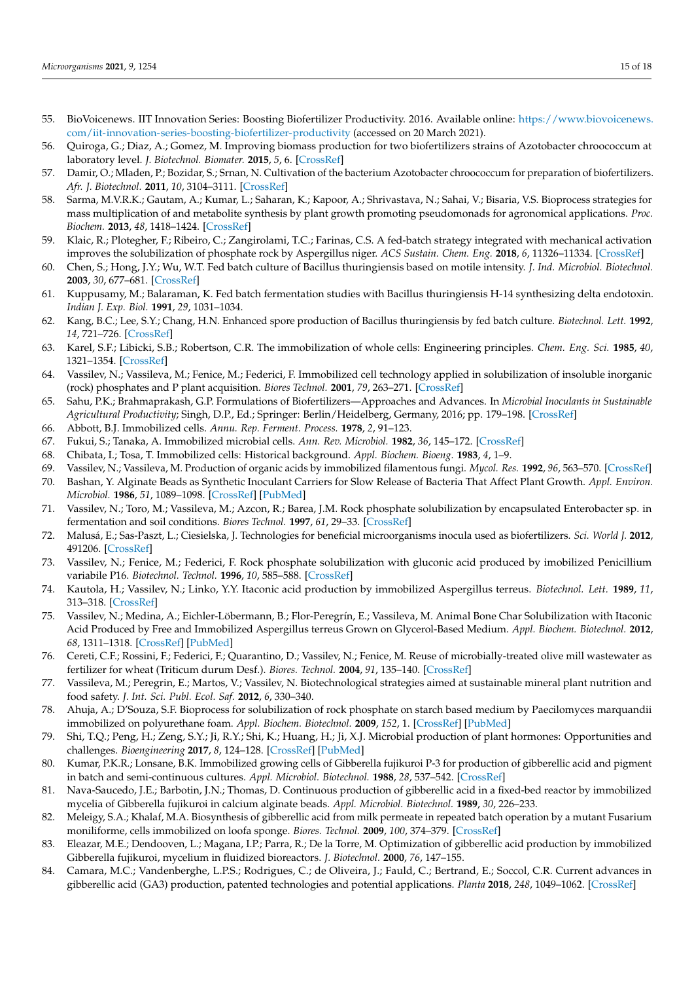- <span id="page-14-0"></span>55. BioVoicenews. IIT Innovation Series: Boosting Biofertilizer Productivity. 2016. Available online: [https://www.biovoicenews.](https://www.biovoicenews.com/iit-innovation-series-boosting-biofertilizer-productivity) [com/iit-innovation-series-boosting-biofertilizer-productivity](https://www.biovoicenews.com/iit-innovation-series-boosting-biofertilizer-productivity) (accessed on 20 March 2021).
- <span id="page-14-1"></span>56. Quiroga, G.; Diaz, A.; Gomez, M. Improving biomass production for two biofertilizers strains of Azotobacter chroococcum at laboratory level. *J. Biotechnol. Biomater.* **2015**, *5*, 6. [\[CrossRef\]](http://doi.org/10.4172/2155-952X.C1.044)
- <span id="page-14-2"></span>57. Damir, O.; Mladen, P.; Bozidar, S.; Srnan, N. Cultivation of the bacterium Azotobacter chroococcum for preparation of biofertilizers. *Afr. J. Biotechnol.* **2011**, *10*, 3104–3111. [\[CrossRef\]](http://doi.org/10.5897/AJB10.1086)
- <span id="page-14-3"></span>58. Sarma, M.V.R.K.; Gautam, A.; Kumar, L.; Saharan, K.; Kapoor, A.; Shrivastava, N.; Sahai, V.; Bisaria, V.S. Bioprocess strategies for mass multiplication of and metabolite synthesis by plant growth promoting pseudomonads for agronomical applications. *Proc. Biochem.* **2013**, *48*, 1418–1424. [\[CrossRef\]](http://doi.org/10.1016/j.procbio.2013.04.017)
- <span id="page-14-4"></span>59. Klaic, R.; Plotegher, F.; Ribeiro, C.; Zangirolami, T.C.; Farinas, C.S. A fed-batch strategy integrated with mechanical activation improves the solubilization of phosphate rock by Aspergillus niger. *ACS Sustain. Chem. Eng.* **2018**, *6*, 11326–11334. [\[CrossRef\]](http://doi.org/10.1021/acssuschemeng.8b00885)
- <span id="page-14-5"></span>60. Chen, S.; Hong, J.Y.; Wu, W.T. Fed batch culture of Bacillus thuringiensis based on motile intensity. *J. Ind. Microbiol. Biotechnol.* **2003**, *30*, 677–681. [\[CrossRef\]](http://doi.org/10.1007/s10295-003-0098-1)
- <span id="page-14-6"></span>61. Kuppusamy, M.; Balaraman, K. Fed batch fermentation studies with Bacillus thuringiensis H-14 synthesizing delta endotoxin. *Indian J. Exp. Biol.* **1991**, *29*, 1031–1034.
- <span id="page-14-7"></span>62. Kang, B.C.; Lee, S.Y.; Chang, H.N. Enhanced spore production of Bacillus thuringiensis by fed batch culture. *Biotechnol. Lett.* **1992**, *14*, 721–726. [\[CrossRef\]](http://doi.org/10.1007/BF01021650)
- <span id="page-14-8"></span>63. Karel, S.F.; Libicki, S.B.; Robertson, C.R. The immobilization of whole cells: Engineering principles. *Chem. Eng. Sci.* **1985**, *40*, 1321–1354. [\[CrossRef\]](http://doi.org/10.1016/0009-2509(85)80074-9)
- <span id="page-14-9"></span>64. Vassilev, N.; Vassileva, M.; Fenice, M.; Federici, F. Immobilized cell technology applied in solubilization of insoluble inorganic (rock) phosphates and P plant acquisition. *Biores Technol.* **2001**, *79*, 263–271. [\[CrossRef\]](http://doi.org/10.1016/S0960-8524(01)00017-7)
- <span id="page-14-10"></span>65. Sahu, P.K.; Brahmaprakash, G.P. Formulations of Biofertilizers—Approaches and Advances. In *Microbial Inoculants in Sustainable Agricultural Productivity*; Singh, D.P., Ed.; Springer: Berlin/Heidelberg, Germany, 2016; pp. 179–198. [\[CrossRef\]](http://doi.org/10.1007/978-81-322-2644-4_12)
- <span id="page-14-11"></span>66. Abbott, B.J. Immobilized cells. *Annu. Rep. Ferment. Process.* **1978**, *2*, 91–123.
- 67. Fukui, S.; Tanaka, A. Immobilized microbial cells. *Ann. Rev. Microbiol.* **1982**, *36*, 145–172. [\[CrossRef\]](http://doi.org/10.1146/annurev.mi.36.100182.001045)
- 68. Chibata, I.; Tosa, T. Immobilized cells: Historical background. *Appl. Biochem. Bioeng.* **1983**, *4*, 1–9.
- <span id="page-14-12"></span>69. Vassilev, N.; Vassileva, M. Production of organic acids by immobilized filamentous fungi. *Mycol. Res.* **1992**, *96*, 563–570. [\[CrossRef\]](http://doi.org/10.1016/S0953-7562(09)80981-7)
- <span id="page-14-13"></span>70. Bashan, Y. Alginate Beads as Synthetic Inoculant Carriers for Slow Release of Bacteria That Affect Plant Growth. *Appl. Environ. Microbiol.* **1986**, *51*, 1089–1098. [\[CrossRef\]](http://doi.org/10.1128/aem.51.5.1089-1098.1986) [\[PubMed\]](http://www.ncbi.nlm.nih.gov/pubmed/16347055)
- 71. Vassilev, N.; Toro, M.; Vassileva, M.; Azcon, R.; Barea, J.M. Rock phosphate solubilization by encapsulated Enterobacter sp. in fermentation and soil conditions. *Biores Technol.* **1997**, *61*, 29–33. [\[CrossRef\]](http://doi.org/10.1016/S0960-8524(97)84694-9)
- <span id="page-14-14"></span>72. Malusá, E.; Sas-Paszt, L.; Ciesielska, J. Technologies for beneficial microorganisms inocula used as biofertilizers. *Sci. World J.* **2012**, 491206. [\[CrossRef\]](http://doi.org/10.1100/2012/491206)
- <span id="page-14-15"></span>73. Vassilev, N.; Fenice, M.; Federici, F. Rock phosphate solubilization with gluconic acid produced by imobilized Penicillium variabile P16. *Biotechnol. Technol.* **1996**, *10*, 585–588. [\[CrossRef\]](http://doi.org/10.1007/BF00157366)
- <span id="page-14-16"></span>74. Kautola, H.; Vassilev, N.; Linko, Y.Y. Itaconic acid production by immobilized Aspergillus terreus. *Biotechnol. Lett.* **1989**, *11*, 313–318. [\[CrossRef\]](http://doi.org/10.1007/BF01024510)
- <span id="page-14-17"></span>75. Vassilev, N.; Medina, A.; Eichler-Löbermann, B.; Flor-Peregrín, E.; Vassileva, M. Animal Bone Char Solubilization with Itaconic Acid Produced by Free and Immobilized Aspergillus terreus Grown on Glycerol-Based Medium. *Appl. Biochem. Biotechnol.* **2012**, *68*, 1311–1318. [\[CrossRef\]](http://doi.org/10.1007/s12010-012-9859-5) [\[PubMed\]](http://www.ncbi.nlm.nih.gov/pubmed/22956279)
- <span id="page-14-18"></span>76. Cereti, C.F.; Rossini, F.; Federici, F.; Quarantino, D.; Vassilev, N.; Fenice, M. Reuse of microbially-treated olive mill wastewater as fertilizer for wheat (Triticum durum Desf.). *Biores. Technol.* **2004**, *91*, 135–140. [\[CrossRef\]](http://doi.org/10.1016/S0960-8524(03)00181-0)
- <span id="page-14-19"></span>77. Vassileva, M.; Peregrin, E.; Martos, V.; Vassilev, N. Biotechnological strategies aimed at sustainable mineral plant nutrition and food safety. *J. Int. Sci. Publ. Ecol. Saf.* **2012**, *6*, 330–340.
- <span id="page-14-20"></span>78. Ahuja, A.; D'Souza, S.F. Bioprocess for solubilization of rock phosphate on starch based medium by Paecilomyces marquandii immobilized on polyurethane foam. *Appl. Biochem. Biotechnol.* **2009**, *152*, 1. [\[CrossRef\]](http://doi.org/10.1007/s12010-008-8221-4) [\[PubMed\]](http://www.ncbi.nlm.nih.gov/pubmed/18785017)
- <span id="page-14-21"></span>79. Shi, T.Q.; Peng, H.; Zeng, S.Y.; Ji, R.Y.; Shi, K.; Huang, H.; Ji, X.J. Microbial production of plant hormones: Opportunities and challenges. *Bioengineering* **2017**, *8*, 124–128. [\[CrossRef\]](http://doi.org/10.1080/21655979.2016.1212138) [\[PubMed\]](http://www.ncbi.nlm.nih.gov/pubmed/27459344)
- <span id="page-14-22"></span>80. Kumar, P.K.R.; Lonsane, B.K. Immobilized growing cells of Gibberella fujikuroi P-3 for production of gibberellic acid and pigment in batch and semi-continuous cultures. *Appl. Microbiol. Biotechnol.* **1988**, *28*, 537–542. [\[CrossRef\]](http://doi.org/10.1007/BF00250408)
- <span id="page-14-23"></span>81. Nava-Saucedo, J.E.; Barbotin, J.N.; Thomas, D. Continuous production of gibberellic acid in a fixed-bed reactor by immobilized mycelia of Gibberella fujikuroi in calcium alginate beads. *Appl. Microbiol. Biotechnol.* **1989**, *30*, 226–233.
- <span id="page-14-24"></span>82. Meleigy, S.A.; Khalaf, M.A. Biosynthesis of gibberellic acid from milk permeate in repeated batch operation by a mutant Fusarium moniliforme, cells immobilized on loofa sponge. *Biores. Technol.* **2009**, *100*, 374–379. [\[CrossRef\]](http://doi.org/10.1016/j.biortech.2008.06.024)
- <span id="page-14-25"></span>83. Eleazar, M.E.; Dendooven, L.; Magana, I.P.; Parra, R.; De la Torre, M. Optimization of gibberellic acid production by immobilized Gibberella fujikuroi, mycelium in fluidized bioreactors. *J. Biotechnol.* **2000**, *76*, 147–155.
- 84. Camara, M.C.; Vandenberghe, L.P.S.; Rodrigues, C.; de Oliveira, J.; Fauld, C.; Bertrand, E.; Soccol, C.R. Current advances in gibberellic acid (GA3) production, patented technologies and potential applications. *Planta* **2018**, *248*, 1049–1062. [\[CrossRef\]](http://doi.org/10.1007/s00425-018-2959-x)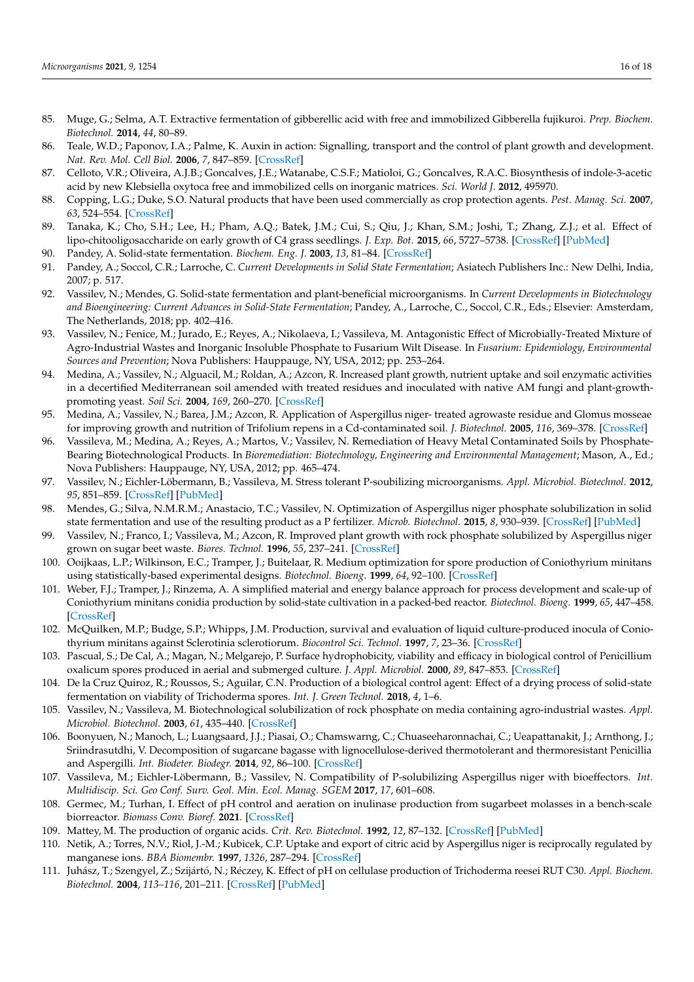- <span id="page-15-0"></span>85. Muge, G.; Selma, A.T. Extractive fermentation of gibberellic acid with free and immobilized Gibberella fujikuroi. *Prep. Biochem. Biotechnol.* **2014**, *44*, 80–89.
- <span id="page-15-1"></span>86. Teale, W.D.; Paponov, I.A.; Palme, K. Auxin in action: Signalling, transport and the control of plant growth and development. *Nat. Rev. Mol. Cell Biol.* **2006**, *7*, 847–859. [\[CrossRef\]](http://doi.org/10.1038/nrm2020)
- <span id="page-15-2"></span>87. Celloto, V.R.; Oliveira, A.J.B.; Goncalves, J.E.; Watanabe, C.S.F.; Matioloi, G.; Goncalves, R.A.C. Biosynthesis of indole-3-acetic acid by new Klebsiella oxytoca free and immobilized cells on inorganic matrices. *Sci. World J.* **2012**, 495970.
- <span id="page-15-3"></span>88. Copping, L.G.; Duke, S.O. Natural products that have been used commercially as crop protection agents. *Pest. Manag. Sci.* **2007**, *63*, 524–554. [\[CrossRef\]](http://doi.org/10.1002/ps.1378)
- <span id="page-15-4"></span>89. Tanaka, K.; Cho, S.H.; Lee, H.; Pham, A.Q.; Batek, J.M.; Cui, S.; Qiu, J.; Khan, S.M.; Joshi, T.; Zhang, Z.J.; et al. Effect of lipo-chitooligosaccharide on early growth of C4 grass seedlings. *J. Exp. Bot.* **2015**, *66*, 5727–5738. [\[CrossRef\]](http://doi.org/10.1093/jxb/erv260) [\[PubMed\]](http://www.ncbi.nlm.nih.gov/pubmed/26049159)
- <span id="page-15-5"></span>90. Pandey, A. Solid-state fermentation. *Biochem. Eng. J.* **2003**, *13*, 81–84. [\[CrossRef\]](http://doi.org/10.1016/S1369-703X(02)00121-3)
- <span id="page-15-6"></span>91. Pandey, A.; Soccol, C.R.; Larroche, C. *Current Developments in Solid State Fermentation*; Asiatech Publishers Inc.: New Delhi, India, 2007; p. 517.
- <span id="page-15-7"></span>92. Vassilev, N.; Mendes, G. Solid-state fermentation and plant-beneficial microorganisms. In *Current Developments in Biotechnology and Bioengineering: Current Advances in Solid-State Fermentation*; Pandey, A., Larroche, C., Soccol, C.R., Eds.; Elsevier: Amsterdam, The Netherlands, 2018; pp. 402–416.
- <span id="page-15-8"></span>93. Vassilev, N.; Fenice, M.; Jurado, E.; Reyes, A.; Nikolaeva, I.; Vassileva, M. Antagonistic Effect of Microbially-Treated Mixture of Agro-Industrial Wastes and Inorganic Insoluble Phosphate to Fusarium Wilt Disease. In *Fusarium: Epidemiology, Environmental Sources and Prevention*; Nova Publishers: Hauppauge, NY, USA, 2012; pp. 253–264.
- <span id="page-15-9"></span>94. Medina, A.; Vassilev, N.; Alguacil, M.; Roldan, A.; Azcon, R. Increased plant growth, nutrient uptake and soil enzymatic activities in a decertified Mediterranean soil amended with treated residues and inoculated with native AM fungi and plant-growthpromoting yeast. *Soil Sci.* **2004**, *169*, 260–270. [\[CrossRef\]](http://doi.org/10.1097/01.ss.0000126840.65846.02)
- 95. Medina, A.; Vassilev, N.; Barea, J.M.; Azcon, R. Application of Aspergillus niger- treated agrowaste residue and Glomus mosseae for improving growth and nutrition of Trifolium repens in a Cd-contaminated soil. *J. Biotechnol.* **2005**, *116*, 369–378. [\[CrossRef\]](http://doi.org/10.1016/j.jbiotec.2004.12.009)
- 96. Vassileva, M.; Medina, A.; Reyes, A.; Martos, V.; Vassilev, N. Remediation of Heavy Metal Contaminated Soils by Phosphate-Bearing Biotechnological Products. In *Bioremediation: Biotechnology, Engineering and Environmental Management*; Mason, A., Ed.; Nova Publishers: Hauppauge, NY, USA, 2012; pp. 465–474.
- <span id="page-15-10"></span>97. Vassilev, N.; Eichler-Löbermann, B.; Vassileva, M. Stress tolerant P-soubilizing microorganisms. *Appl. Microbiol. Biotechnol.* **2012**, *95*, 851–859. [\[CrossRef\]](http://doi.org/10.1007/s00253-012-4224-8) [\[PubMed\]](http://www.ncbi.nlm.nih.gov/pubmed/22722910)
- <span id="page-15-11"></span>98. Mendes, G.; Silva, N.M.R.M.; Anastacio, T.C.; Vassilev, N. Optimization of Aspergillus niger phosphate solubilization in solid state fermentation and use of the resulting product as a P fertilizer. *Microb. Biotechnol.* **2015**, *8*, 930–939. [\[CrossRef\]](http://doi.org/10.1111/1751-7915.12289) [\[PubMed\]](http://www.ncbi.nlm.nih.gov/pubmed/26112323)
- <span id="page-15-12"></span>99. Vassilev, N.; Franco, I.; Vassileva, M.; Azcon, R. Improved plant growth with rock phosphate solubilized by Aspergillus niger grown on sugar beet waste. *Biores. Technol.* **1996**, *55*, 237–241. [\[CrossRef\]](http://doi.org/10.1016/0960-8524(96)00008-9)
- <span id="page-15-13"></span>100. Ooijkaas, L.P.; Wilkinson, E.C.; Tramper, J.; Buitelaar, R. Medium optimization for spore production of Coniothyrium minitans using statistically-based experimental designs. *Biotechnol. Bioeng.* **1999**, *64*, 92–100. [\[CrossRef\]](http://doi.org/10.1002/(SICI)1097-0290(19990705)64:1<92::AID-BIT10>3.0.CO;2-8)
- 101. Weber, F.J.; Tramper, J.; Rinzema, A. A simplified material and energy balance approach for process development and scale-up of Coniothyrium minitans conidia production by solid-state cultivation in a packed-bed reactor. *Biotechnol. Bioeng.* **1999**, *65*, 447–458. [\[CrossRef\]](http://doi.org/10.1002/(SICI)1097-0290(19991120)65:4<447::AID-BIT9>3.0.CO;2-K)
- 102. McQuilken, M.P.; Budge, S.P.; Whipps, J.M. Production, survival and evaluation of liquid culture-produced inocula of Coniothyrium minitans against Sclerotinia sclerotiorum. *Biocontrol Sci. Technol.* **1997**, *7*, 23–36. [\[CrossRef\]](http://doi.org/10.1080/09583159731018)
- 103. Pascual, S.; De Cal, A.; Magan, N.; Melgarejo, P. Surface hydrophobicity, viability and efficacy in biological control of Penicillium oxalicum spores produced in aerial and submerged culture. *J. Appl. Microbiol.* **2000**, *89*, 847–853. [\[CrossRef\]](http://doi.org/10.1046/j.1365-2672.2000.01189.x)
- <span id="page-15-14"></span>104. De la Cruz Quiroz, R.; Roussos, S.; Aguilar, C.N. Production of a biological control agent: Effect of a drying process of solid-state fermentation on viability of Trichoderma spores. *Int. J. Green Technol.* **2018**, *4*, 1–6.
- <span id="page-15-15"></span>105. Vassilev, N.; Vassileva, M. Biotechnological solubilization of rock phosphate on media containing agro-industrial wastes. *Appl. Microbiol. Biotechnol.* **2003**, *61*, 435–440. [\[CrossRef\]](http://doi.org/10.1007/s00253-003-1318-3)
- <span id="page-15-16"></span>106. Boonyuen, N.; Manoch, L.; Luangsaard, J.J.; Piasai, O.; Chamswarng, C.; Chuaseeharonnachai, C.; Ueapattanakit, J.; Arnthong, J.; Sriindrasutdhi, V. Decomposition of sugarcane bagasse with lignocellulose-derived thermotolerant and thermoresistant Penicillia and Aspergilli. *Int. Biodeter. Biodegr.* **2014**, *92*, 86–100. [\[CrossRef\]](http://doi.org/10.1016/j.ibiod.2014.04.013)
- <span id="page-15-17"></span>107. Vassileva, M.; Eichler-Löbermann, B.; Vassilev, N. Compatibility of P-solubilizing Aspergillus niger with bioeffectors. *Int. Multidiscip. Sci. Geo Conf. Surv. Geol. Min. Ecol. Manag. SGEM* **2017**, *17*, 601–608.
- <span id="page-15-18"></span>108. Germec, M.; Turhan, I. Effect of pH control and aeration on inulinase production from sugarbeet molasses in a bench-scale biorreactor. *Biomass Conv. Bioref.* **2021**. [\[CrossRef\]](http://doi.org/10.1007/s13399-021-01436-7)
- <span id="page-15-19"></span>109. Mattey, M. The production of organic acids. *Crit. Rev. Biotechnol.* **1992**, *12*, 87–132. [\[CrossRef\]](http://doi.org/10.3109/07388559209069189) [\[PubMed\]](http://www.ncbi.nlm.nih.gov/pubmed/1733523)
- <span id="page-15-20"></span>110. Netik, A.; Torres, N.V.; Riol, J.-M.; Kubicek, C.P. Uptake and export of citric acid by Aspergillus niger is reciprocally regulated by manganese ions. *BBA Biomembr.* **1997**, *1326*, 287–294. [\[CrossRef\]](http://doi.org/10.1016/S0005-2736(97)00032-1)
- <span id="page-15-21"></span>111. Juhász, T.; Szengyel, Z.; Szijártó, N.; Réczey, K. Effect of pH on cellulase production of Trichoderma reesei RUT C30. *Appl. Biochem. Biotechnol.* **2004**, *113–116*, 201–211. [\[CrossRef\]](http://doi.org/10.1385/ABAB:113:1-3:201) [\[PubMed\]](http://www.ncbi.nlm.nih.gov/pubmed/15054207)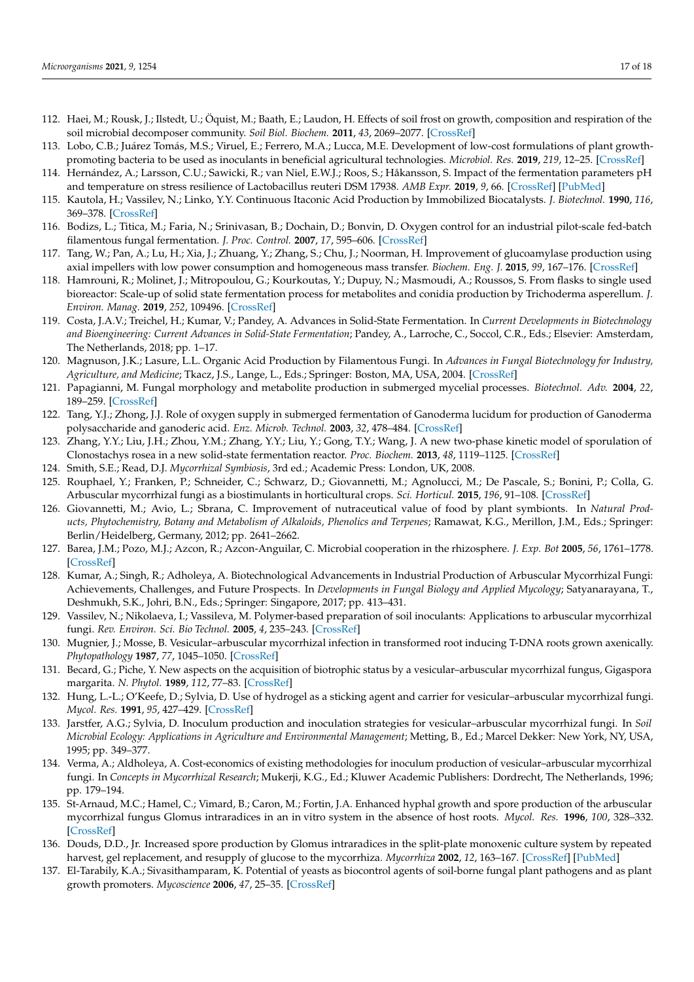- <span id="page-16-0"></span>112. Haei, M.; Rousk, J.; Ilstedt, U.; Öquist, M.; Baath, E.; Laudon, H. Effects of soil frost on growth, composition and respiration of the soil microbial decomposer community. *Soil Biol. Biochem.* **2011**, *43*, 2069–2077. [\[CrossRef\]](http://doi.org/10.1016/j.soilbio.2011.06.005)
- <span id="page-16-1"></span>113. Lobo, C.B.; Juárez Tomás, M.S.; Viruel, E.; Ferrero, M.A.; Lucca, M.E. Development of low-cost formulations of plant growthpromoting bacteria to be used as inoculants in beneficial agricultural technologies. *Microbiol. Res.* **2019**, *219*, 12–25. [\[CrossRef\]](http://doi.org/10.1016/j.micres.2018.10.012)
- <span id="page-16-2"></span>114. Hernández, A.; Larsson, C.U.; Sawicki, R.; van Niel, E.W.J.; Roos, S.; Håkansson, S. Impact of the fermentation parameters pH and temperature on stress resilience of Lactobacillus reuteri DSM 17938. *AMB Expr.* **2019**, *9*, 66. [\[CrossRef\]](http://doi.org/10.1186/s13568-019-0789-2) [\[PubMed\]](http://www.ncbi.nlm.nih.gov/pubmed/31102098)
- <span id="page-16-3"></span>115. Kautola, H.; Vassilev, N.; Linko, Y.Y. Continuous Itaconic Acid Production by Immobilized Biocatalysts. *J. Biotechnol.* **1990**, *116*, 369–378. [\[CrossRef\]](http://doi.org/10.1016/0168-1656(90)90079-Q)
- <span id="page-16-4"></span>116. Bodizs, L.; Titica, M.; Faria, N.; Srinivasan, B.; Dochain, D.; Bonvin, D. Oxygen control for an industrial pilot-scale fed-batch filamentous fungal fermentation. *J. Proc. Control.* **2007**, *17*, 595–606. [\[CrossRef\]](http://doi.org/10.1016/j.jprocont.2007.01.019)
- <span id="page-16-5"></span>117. Tang, W.; Pan, A.; Lu, H.; Xia, J.; Zhuang, Y.; Zhang, S.; Chu, J.; Noorman, H. Improvement of glucoamylase production using axial impellers with low power consumption and homogeneous mass transfer. *Biochem. Eng. J.* **2015**, *99*, 167–176. [\[CrossRef\]](http://doi.org/10.1016/j.bej.2015.03.025)
- <span id="page-16-6"></span>118. Hamrouni, R.; Molinet, J.; Mitropoulou, G.; Kourkoutas, Y.; Dupuy, N.; Masmoudi, A.; Roussos, S. From flasks to single used bioreactor: Scale-up of solid state fermentation process for metabolites and conidia production by Trichoderma asperellum. *J. Environ. Manag.* **2019**, *252*, 109496. [\[CrossRef\]](http://doi.org/10.1016/j.jenvman.2019.10949)
- <span id="page-16-7"></span>119. Costa, J.A.V.; Treichel, H.; Kumar, V.; Pandey, A. Advances in Solid-State Fermentation. In *Current Developments in Biotechnology and Bioengineering: Current Advances in Solid-State Fermentation*; Pandey, A., Larroche, C., Soccol, C.R., Eds.; Elsevier: Amsterdam, The Netherlands, 2018; pp. 1–17.
- <span id="page-16-8"></span>120. Magnuson, J.K.; Lasure, L.L. Organic Acid Production by Filamentous Fungi. In *Advances in Fungal Biotechnology for Industry, Agriculture, and Medicine*; Tkacz, J.S., Lange, L., Eds.; Springer: Boston, MA, USA, 2004. [\[CrossRef\]](http://doi.org/10.1007/978-1-4419-8859-1-12)
- <span id="page-16-9"></span>121. Papagianni, M. Fungal morphology and metabolite production in submerged mycelial processes. *Biotechnol. Adv.* **2004**, *22*, 189–259. [\[CrossRef\]](http://doi.org/10.1016/j.biotechadv.2003.09.005)
- <span id="page-16-10"></span>122. Tang, Y.J.; Zhong, J.J. Role of oxygen supply in submerged fermentation of Ganoderma lucidum for production of Ganoderma polysaccharide and ganoderic acid. *Enz. Microb. Technol.* **2003**, *32*, 478–484. [\[CrossRef\]](http://doi.org/10.1016/S0141-0229(02)00338-1)
- <span id="page-16-11"></span>123. Zhang, Y.Y.; Liu, J.H.; Zhou, Y.M.; Zhang, Y.Y.; Liu, Y.; Gong, T.Y.; Wang, J. A new two-phase kinetic model of sporulation of Clonostachys rosea in a new solid-state fermentation reactor. *Proc. Biochem.* **2013**, *48*, 1119–1125. [\[CrossRef\]](http://doi.org/10.1016/j.procbio.2013.03.009)
- <span id="page-16-12"></span>124. Smith, S.E.; Read, D.J. *Mycorrhizal Symbiosis*, 3rd ed.; Academic Press: London, UK, 2008.
- <span id="page-16-13"></span>125. Rouphael, Y.; Franken, P.; Schneider, C.; Schwarz, D.; Giovannetti, M.; Agnolucci, M.; De Pascale, S.; Bonini, P.; Colla, G. Arbuscular mycorrhizal fungi as a biostimulants in horticultural crops. *Sci. Horticul.* **2015**, *196*, 91–108. [\[CrossRef\]](http://doi.org/10.1016/j.scienta.2015.09.002)
- <span id="page-16-14"></span>126. Giovannetti, M.; Avio, L.; Sbrana, C. Improvement of nutraceutical value of food by plant symbionts. In *Natural Products, Phytochemistry, Botany and Metabolism of Alkaloids, Phenolics and Terpenes*; Ramawat, K.G., Merillon, J.M., Eds.; Springer: Berlin/Heidelberg, Germany, 2012; pp. 2641–2662.
- <span id="page-16-15"></span>127. Barea, J.M.; Pozo, M.J.; Azcon, R.; Azcon-Anguilar, C. Microbial cooperation in the rhizosphere. *J. Exp. Bot* **2005**, *56*, 1761–1778. [\[CrossRef\]](http://doi.org/10.1093/jxb/eri197)
- <span id="page-16-16"></span>128. Kumar, A.; Singh, R.; Adholeya, A. Biotechnological Advancements in Industrial Production of Arbuscular Mycorrhizal Fungi: Achievements, Challenges, and Future Prospects. In *Developments in Fungal Biology and Applied Mycology*; Satyanarayana, T., Deshmukh, S.K., Johri, B.N., Eds.; Springer: Singapore, 2017; pp. 413–431.
- <span id="page-16-17"></span>129. Vassilev, N.; Nikolaeva, I.; Vassileva, M. Polymer-based preparation of soil inoculants: Applications to arbuscular mycorrhizal fungi. *Rev. Environ. Sci. Bio Technol.* **2005**, *4*, 235–243. [\[CrossRef\]](http://doi.org/10.1007/s11157-005-2098-2)
- <span id="page-16-18"></span>130. Mugnier, J.; Mosse, B. Vesicular–arbuscular mycorrhizal infection in transformed root inducing T-DNA roots grown axenically. *Phytopathology* **1987**, *77*, 1045–1050. [\[CrossRef\]](http://doi.org/10.1094/Phyto-77-1045)
- 131. Becard, G.; Piche, Y. New aspects on the acquisition of biotrophic status by a vesicular–arbuscular mycorrhizal fungus, Gigaspora margarita. *N. Phytol.* **1989**, *112*, 77–83. [\[CrossRef\]](http://doi.org/10.1111/j.1469-8137.1989.tb00311.x)
- 132. Hung, L.-L.; O'Keefe, D.; Sylvia, D. Use of hydrogel as a sticking agent and carrier for vesicular–arbuscular mycorrhizal fungi. *Mycol. Res.* **1991**, *95*, 427–429. [\[CrossRef\]](http://doi.org/10.1016/S0953-7562(09)80841-1)
- <span id="page-16-19"></span>133. Jarstfer, A.G.; Sylvia, D. Inoculum production and inoculation strategies for vesicular–arbuscular mycorrhizal fungi. In *Soil Microbial Ecology: Applications in Agriculture and Environmental Management*; Metting, B., Ed.; Marcel Dekker: New York, NY, USA, 1995; pp. 349–377.
- <span id="page-16-20"></span>134. Verma, A.; Aldholeya, A. Cost-economics of existing methodologies for inoculum production of vesicular–arbuscular mycorrhizal fungi. In *Concepts in Mycorrhizal Research*; Mukerji, K.G., Ed.; Kluwer Academic Publishers: Dordrecht, The Netherlands, 1996; pp. 179–194.
- <span id="page-16-21"></span>135. St-Arnaud, M.C.; Hamel, C.; Vimard, B.; Caron, M.; Fortin, J.A. Enhanced hyphal growth and spore production of the arbuscular mycorrhizal fungus Glomus intraradices in an in vitro system in the absence of host roots. *Mycol. Res.* **1996**, *100*, 328–332. [\[CrossRef\]](http://doi.org/10.1016/S0953-7562(96)80164-X)
- <span id="page-16-22"></span>136. Douds, D.D., Jr. Increased spore production by Glomus intraradices in the split-plate monoxenic culture system by repeated harvest, gel replacement, and resupply of glucose to the mycorrhiza. *Mycorrhiza* **2002**, *12*, 163–167. [\[CrossRef\]](http://doi.org/10.1007/s00572-002-0174-9) [\[PubMed\]](http://www.ncbi.nlm.nih.gov/pubmed/12189469)
- <span id="page-16-23"></span>137. El-Tarabily, K.A.; Sivasithamparam, K. Potential of yeasts as biocontrol agents of soil-borne fungal plant pathogens and as plant growth promoters. *Mycoscience* **2006**, *47*, 25–35. [\[CrossRef\]](http://doi.org/10.1007/S10267-005-0268-2)